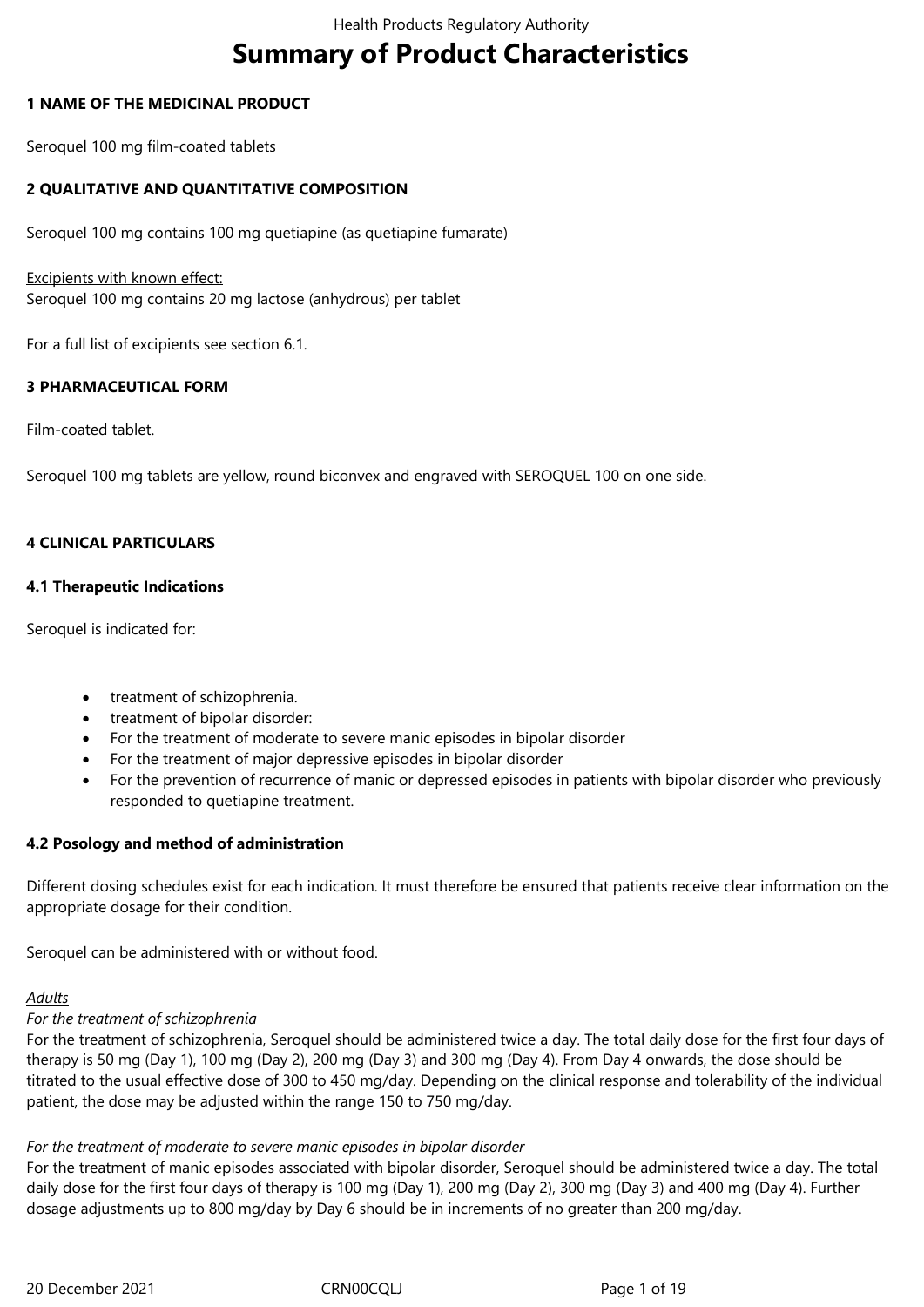# **Summary of Product Characteristics**

### **1 NAME OF THE MEDICINAL PRODUCT**

Seroquel 100 mg film-coated tablets

### **2 QUALITATIVE AND QUANTITATIVE COMPOSITION**

Seroquel 100 mg contains 100 mg quetiapine (as quetiapine fumarate)

### Excipients with known effect:

Seroquel 100 mg contains 20 mg lactose (anhydrous) per tablet

For a full list of excipients see section 6.1.

### **3 PHARMACEUTICAL FORM**

Film-coated tablet.

Seroquel 100 mg tablets are yellow, round biconvex and engraved with SEROQUEL 100 on one side.

### **4 CLINICAL PARTICULARS**

### **4.1 Therapeutic Indications**

Seroquel is indicated for:

- treatment of schizophrenia.
- treatment of bipolar disorder:
- For the treatment of moderate to severe manic episodes in bipolar disorder
- For the treatment of major depressive episodes in bipolar disorder
- For the prevention of recurrence of manic or depressed episodes in patients with bipolar disorder who previously responded to quetiapine treatment.

### **4.2 Posology and method of administration**

Different dosing schedules exist for each indication. It must therefore be ensured that patients receive clear information on the appropriate dosage for their condition.

Seroquel can be administered with or without food.

# *Adults*

# *For the treatment of schizophrenia*

For the treatment of schizophrenia, Seroquel should be administered twice a day. The total daily dose for the first four days of therapy is 50 mg (Day 1), 100 mg (Day 2), 200 mg (Day 3) and 300 mg (Day 4). From Day 4 onwards, the dose should be titrated to the usual effective dose of 300 to 450 mg/day. Depending on the clinical response and tolerability of the individual patient, the dose may be adjusted within the range 150 to 750 mg/day.

# *For the treatment of moderate to severe manic episodes in bipolar disorder*

For the treatment of manic episodes associated with bipolar disorder, Seroquel should be administered twice a day. The total daily dose for the first four days of therapy is 100 mg (Day 1), 200 mg (Day 2), 300 mg (Day 3) and 400 mg (Day 4). Further dosage adjustments up to 800 mg/day by Day 6 should be in increments of no greater than 200 mg/day.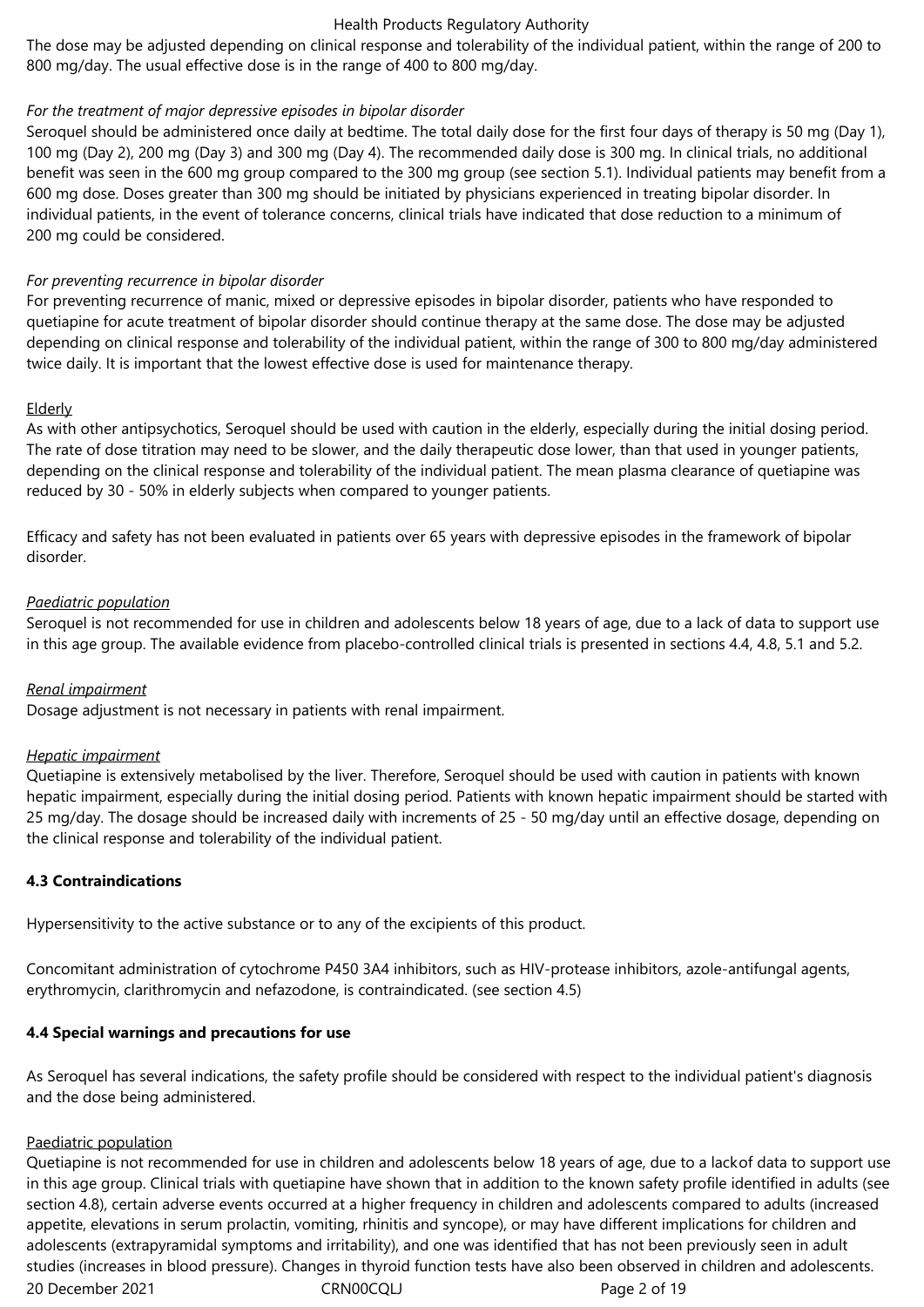The dose may be adjusted depending on clinical response and tolerability of the individual patient, within the range of 200 to 800 mg/day. The usual effective dose is in the range of 400 to 800 mg/day.

### *For the treatment of major depressive episodes in bipolar disorder*

Seroquel should be administered once daily at bedtime. The total daily dose for the first four days of therapy is 50 mg (Day 1), 100 mg (Day 2), 200 mg (Day 3) and 300 mg (Day 4). The recommended daily dose is 300 mg. In clinical trials, no additional benefit was seen in the 600 mg group compared to the 300 mg group (see section 5.1). Individual patients may benefit from a 600 mg dose. Doses greater than 300 mg should be initiated by physicians experienced in treating bipolar disorder. In individual patients, in the event of tolerance concerns, clinical trials have indicated that dose reduction to a minimum of 200 mg could be considered.

### *For preventing recurrence in bipolar disorder*

For preventing recurrence of manic, mixed or depressive episodes in bipolar disorder, patients who have responded to quetiapine for acute treatment of bipolar disorder should continue therapy at the same dose. The dose may be adjusted depending on clinical response and tolerability of the individual patient, within the range of 300 to 800 mg/day administered twice daily. It is important that the lowest effective dose is used for maintenance therapy.

### Elderly

As with other antipsychotics, Seroquel should be used with caution in the elderly, especially during the initial dosing period. The rate of dose titration may need to be slower, and the daily therapeutic dose lower, than that used in younger patients, depending on the clinical response and tolerability of the individual patient. The mean plasma clearance of quetiapine was reduced by 30 - 50% in elderly subjects when compared to younger patients.

Efficacy and safety has not been evaluated in patients over 65 years with depressive episodes in the framework of bipolar disorder.

### *Paediatric population*

Seroquel is not recommended for use in children and adolescents below 18 years of age, due to a lack of data to support use in this age group. The available evidence from placebo-controlled clinical trials is presented in sections 4.4, 4.8, 5.1 and 5.2.

### *Renal impairment*

Dosage adjustment is not necessary in patients with renal impairment.

### *Hepatic impairment*

Quetiapine is extensively metabolised by the liver. Therefore, Seroquel should be used with caution in patients with known hepatic impairment, especially during the initial dosing period. Patients with known hepatic impairment should be started with 25 mg/day. The dosage should be increased daily with increments of 25 - 50 mg/day until an effective dosage, depending on the clinical response and tolerability of the individual patient.

# **4.3 Contraindications**

Hypersensitivity to the active substance or to any of the excipients of this product.

Concomitant administration of cytochrome P450 3A4 inhibitors, such as HIV-protease inhibitors, azole-antifungal agents, erythromycin, clarithromycin and nefazodone, is contraindicated. (see section 4.5)

# **4.4 Special warnings and precautions for use**

As Seroquel has several indications, the safety profile should be considered with respect to the individual patient's diagnosis and the dose being administered.

### Paediatric population

20 December 2021 CRN00CQLJ Page 2 of 19 Quetiapine is not recommended for use in children and adolescents below 18 years of age, due to a lackof data to support use in this age group. Clinical trials with quetiapine have shown that in addition to the known safety profile identified in adults (see section 4.8), certain adverse events occurred at a higher frequency in children and adolescents compared to adults (increased appetite, elevations in serum prolactin, vomiting, rhinitis and syncope), or may have different implications for children and adolescents (extrapyramidal symptoms and irritability), and one was identified that has not been previously seen in adult studies (increases in blood pressure). Changes in thyroid function tests have also been observed in children and adolescents.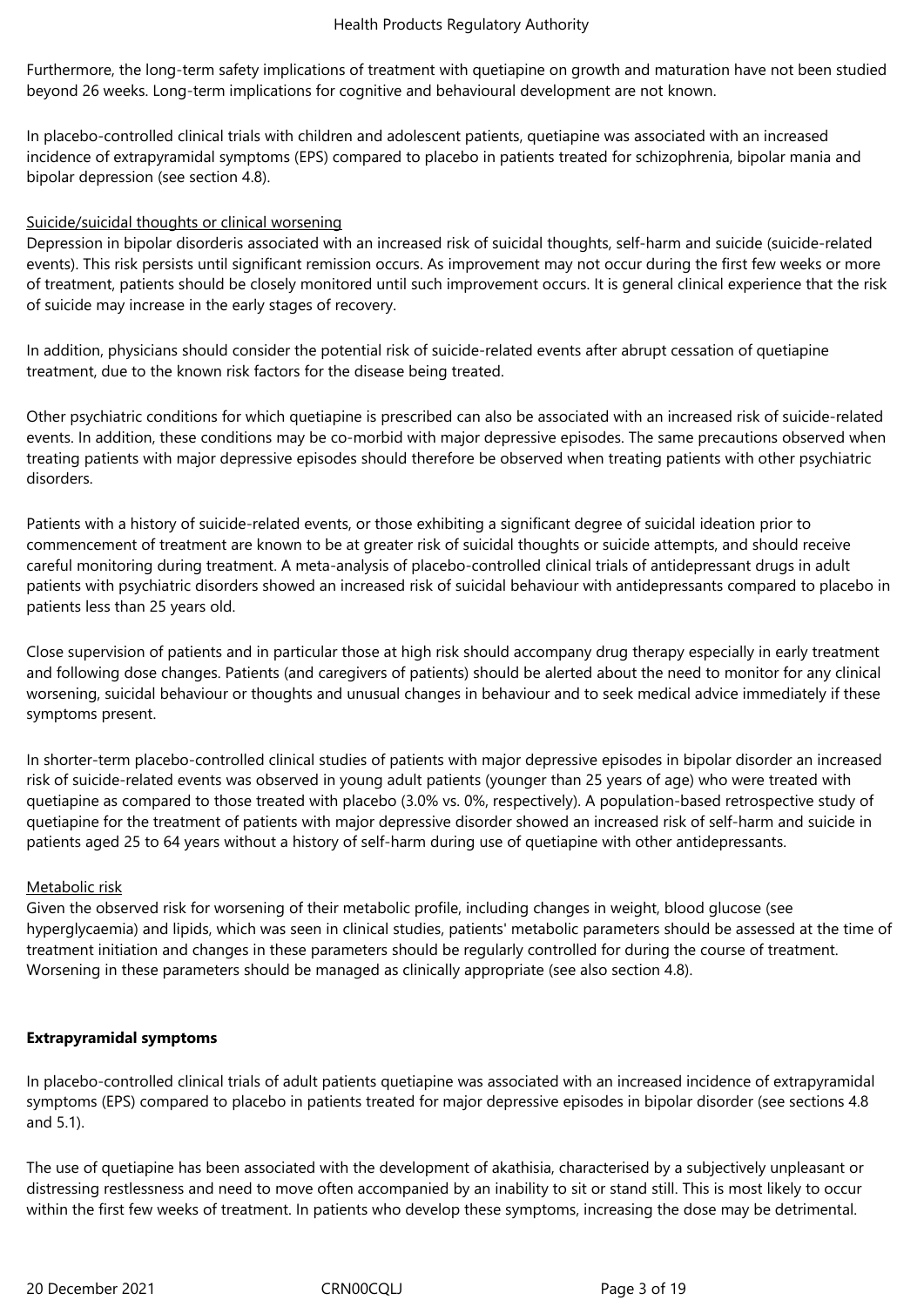Furthermore, the long-term safety implications of treatment with quetiapine on growth and maturation have not been studied beyond 26 weeks. Long-term implications for cognitive and behavioural development are not known.

In placebo-controlled clinical trials with children and adolescent patients, quetiapine was associated with an increased incidence of extrapyramidal symptoms (EPS) compared to placebo in patients treated for schizophrenia, bipolar mania and bipolar depression (see section 4.8).

### Suicide/suicidal thoughts or clinical worsening

Depression in bipolar disorderis associated with an increased risk of suicidal thoughts, self-harm and suicide (suicide-related events). This risk persists until significant remission occurs. As improvement may not occur during the first few weeks or more of treatment, patients should be closely monitored until such improvement occurs. It is general clinical experience that the risk of suicide may increase in the early stages of recovery.

In addition, physicians should consider the potential risk of suicide-related events after abrupt cessation of quetiapine treatment, due to the known risk factors for the disease being treated.

Other psychiatric conditions for which quetiapine is prescribed can also be associated with an increased risk of suicide-related events. In addition, these conditions may be co-morbid with major depressive episodes. The same precautions observed when treating patients with major depressive episodes should therefore be observed when treating patients with other psychiatric disorders.

Patients with a history of suicide-related events, or those exhibiting a significant degree of suicidal ideation prior to commencement of treatment are known to be at greater risk of suicidal thoughts or suicide attempts, and should receive careful monitoring during treatment. A meta-analysis of placebo-controlled clinical trials of antidepressant drugs in adult patients with psychiatric disorders showed an increased risk of suicidal behaviour with antidepressants compared to placebo in patients less than 25 years old.

Close supervision of patients and in particular those at high risk should accompany drug therapy especially in early treatment and following dose changes. Patients (and caregivers of patients) should be alerted about the need to monitor for any clinical worsening, suicidal behaviour or thoughts and unusual changes in behaviour and to seek medical advice immediately if these symptoms present.

In shorter-term placebo-controlled clinical studies of patients with major depressive episodes in bipolar disorder an increased risk of suicide-related events was observed in young adult patients (younger than 25 years of age) who were treated with quetiapine as compared to those treated with placebo (3.0% vs. 0%, respectively). A population-based retrospective study of quetiapine for the treatment of patients with major depressive disorder showed an increased risk of self-harm and suicide in patients aged 25 to 64 years without a history of self-harm during use of quetiapine with other antidepressants.

# Metabolic risk

Given the observed risk for worsening of their metabolic profile, including changes in weight, blood glucose (see hyperglycaemia) and lipids, which was seen in clinical studies, patients' metabolic parameters should be assessed at the time of treatment initiation and changes in these parameters should be regularly controlled for during the course of treatment. Worsening in these parameters should be managed as clinically appropriate (see also section 4.8).

### **Extrapyramidal symptoms**

In placebo-controlled clinical trials of adult patients quetiapine was associated with an increased incidence of extrapyramidal symptoms (EPS) compared to placebo in patients treated for major depressive episodes in bipolar disorder (see sections 4.8 and 5.1).

The use of quetiapine has been associated with the development of akathisia, characterised by a subjectively unpleasant or distressing restlessness and need to move often accompanied by an inability to sit or stand still. This is most likely to occur within the first few weeks of treatment. In patients who develop these symptoms, increasing the dose may be detrimental.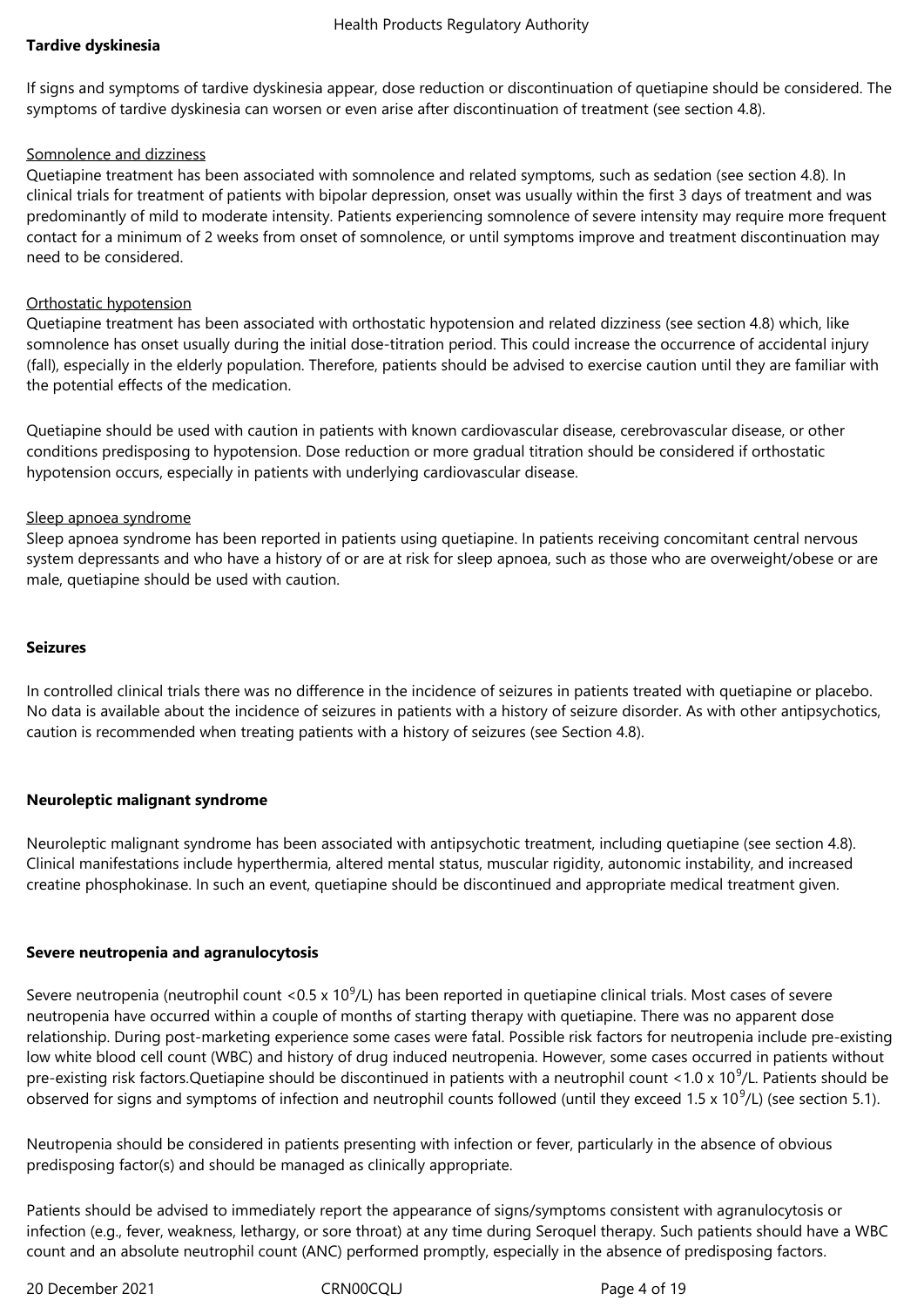### **Tardive dyskinesia**

If signs and symptoms of tardive dyskinesia appear, dose reduction or discontinuation of quetiapine should be considered. The symptoms of tardive dyskinesia can worsen or even arise after discontinuation of treatment (see section 4.8).

#### Somnolence and dizziness

Quetiapine treatment has been associated with somnolence and related symptoms, such as sedation (see section 4.8). In clinical trials for treatment of patients with bipolar depression, onset was usually within the first 3 days of treatment and was predominantly of mild to moderate intensity. Patients experiencing somnolence of severe intensity may require more frequent contact for a minimum of 2 weeks from onset of somnolence, or until symptoms improve and treatment discontinuation may need to be considered.

### Orthostatic hypotension

Quetiapine treatment has been associated with orthostatic hypotension and related dizziness (see section 4.8) which, like somnolence has onset usually during the initial dose-titration period. This could increase the occurrence of accidental injury (fall), especially in the elderly population. Therefore, patients should be advised to exercise caution until they are familiar with the potential effects of the medication.

Quetiapine should be used with caution in patients with known cardiovascular disease, cerebrovascular disease, or other conditions predisposing to hypotension. Dose reduction or more gradual titration should be considered if orthostatic hypotension occurs, especially in patients with underlying cardiovascular disease.

### Sleep apnoea syndrome

Sleep apnoea syndrome has been reported in patients using quetiapine. In patients receiving concomitant central nervous system depressants and who have a history of or are at risk for sleep apnoea, such as those who are overweight/obese or are male, quetiapine should be used with caution.

#### **Seizures**

In controlled clinical trials there was no difference in the incidence of seizures in patients treated with quetiapine or placebo. No data is available about the incidence of seizures in patients with a history of seizure disorder. As with other antipsychotics, caution is recommended when treating patients with a history of seizures (see Section 4.8).

### **Neuroleptic malignant syndrome**

Neuroleptic malignant syndrome has been associated with antipsychotic treatment, including quetiapine (see section 4.8). Clinical manifestations include hyperthermia, altered mental status, muscular rigidity, autonomic instability, and increased creatine phosphokinase. In such an event, quetiapine should be discontinued and appropriate medical treatment given.

### **Severe neutropenia and agranulocytosis**

Severe neutropenia (neutrophil count <0.5 x 10 $^9$ /L) has been reported in quetiapine clinical trials. Most cases of severe neutropenia have occurred within a couple of months of starting therapy with quetiapine. There was no apparent dose relationship. During post-marketing experience some cases were fatal. Possible risk factors for neutropenia include pre-existing low white blood cell count (WBC) and history of drug induced neutropenia. However, some cases occurred in patients without pre-existing risk factors.Quetiapine should be discontinued in patients with a neutrophil count <1.0 x 10<sup>9</sup>/L. Patients should be observed for signs and symptoms of infection and neutrophil counts followed (until they exceed 1.5 x 10<sup>9</sup>/L) (see section 5.1).

Neutropenia should be considered in patients presenting with infection or fever, particularly in the absence of obvious predisposing factor(s) and should be managed as clinically appropriate.

Patients should be advised to immediately report the appearance of signs/symptoms consistent with agranulocytosis or infection (e.g., fever, weakness, lethargy, or sore throat) at any time during Seroquel therapy. Such patients should have a WBC count and an absolute neutrophil count (ANC) performed promptly, especially in the absence of predisposing factors.

20 December 2021 CRN00CQLJ Page 4 of 19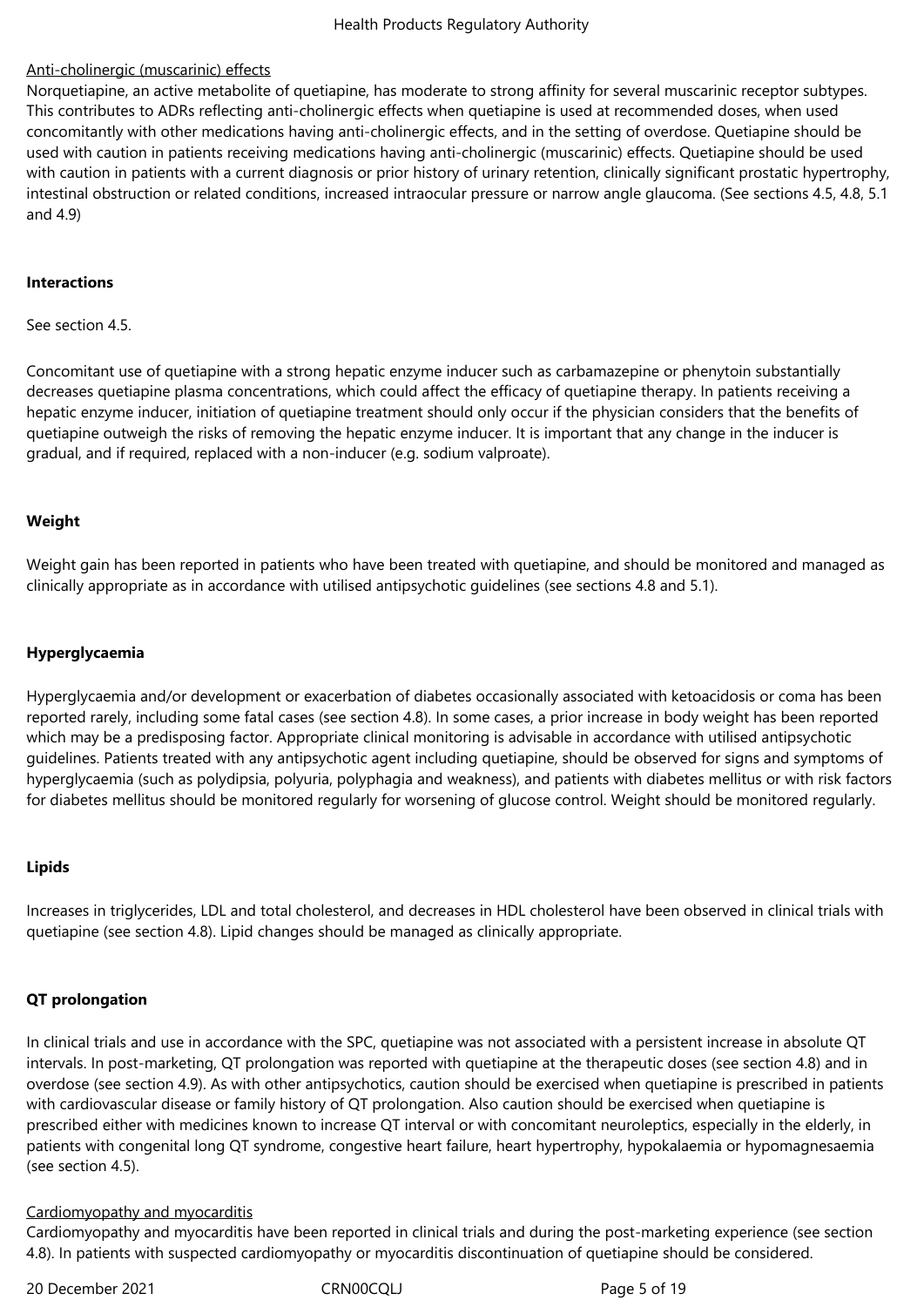### Anti-cholinergic (muscarinic) effects

Norquetiapine, an active metabolite of quetiapine, has moderate to strong affinity for several muscarinic receptor subtypes. This contributes to ADRs reflecting anti-cholinergic effects when quetiapine is used at recommended doses, when used concomitantly with other medications having anti-cholinergic effects, and in the setting of overdose. Quetiapine should be used with caution in patients receiving medications having anti-cholinergic (muscarinic) effects. Quetiapine should be used with caution in patients with a current diagnosis or prior history of urinary retention, clinically significant prostatic hypertrophy, intestinal obstruction or related conditions, increased intraocular pressure or narrow angle glaucoma. (See sections 4.5, 4.8, 5.1 and 4.9)

#### **Interactions**

See section 4.5.

Concomitant use of quetiapine with a strong hepatic enzyme inducer such as carbamazepine or phenytoin substantially decreases quetiapine plasma concentrations, which could affect the efficacy of quetiapine therapy. In patients receiving a hepatic enzyme inducer, initiation of quetiapine treatment should only occur if the physician considers that the benefits of quetiapine outweigh the risks of removing the hepatic enzyme inducer. It is important that any change in the inducer is gradual, and if required, replaced with a non-inducer (e.g. sodium valproate).

#### **Weight**

Weight gain has been reported in patients who have been treated with quetiapine, and should be monitored and managed as clinically appropriate as in accordance with utilised antipsychotic guidelines (see sections 4.8 and 5.1).

#### **Hyperglycaemia**

Hyperglycaemia and/or development or exacerbation of diabetes occasionally associated with ketoacidosis or coma has been reported rarely, including some fatal cases (see section 4.8). In some cases, a prior increase in body weight has been reported which may be a predisposing factor. Appropriate clinical monitoring is advisable in accordance with utilised antipsychotic guidelines. Patients treated with any antipsychotic agent including quetiapine, should be observed for signs and symptoms of hyperglycaemia (such as polydipsia, polyuria, polyphagia and weakness), and patients with diabetes mellitus or with risk factors for diabetes mellitus should be monitored regularly for worsening of glucose control. Weight should be monitored regularly.

### **Lipids**

Increases in triglycerides, LDL and total cholesterol, and decreases in HDL cholesterol have been observed in clinical trials with quetiapine (see section 4.8). Lipid changes should be managed as clinically appropriate.

### **QT prolongation**

In clinical trials and use in accordance with the SPC, quetiapine was not associated with a persistent increase in absolute QT intervals. In post-marketing, QT prolongation was reported with quetiapine at the therapeutic doses (see section 4.8) and in overdose (see section 4.9). As with other antipsychotics, caution should be exercised when quetiapine is prescribed in patients with cardiovascular disease or family history of QT prolongation. Also caution should be exercised when quetiapine is prescribed either with medicines known to increase QT interval or with concomitant neuroleptics, especially in the elderly, in patients with congenital long QT syndrome, congestive heart failure, heart hypertrophy, hypokalaemia or hypomagnesaemia (see section 4.5).

#### Cardiomyopathy and myocarditis

Cardiomyopathy and myocarditis have been reported in clinical trials and during the post-marketing experience (see section 4.8). In patients with suspected cardiomyopathy or myocarditis discontinuation of quetiapine should be considered.

20 December 2021 CRN00CQLJ Page 5 of 19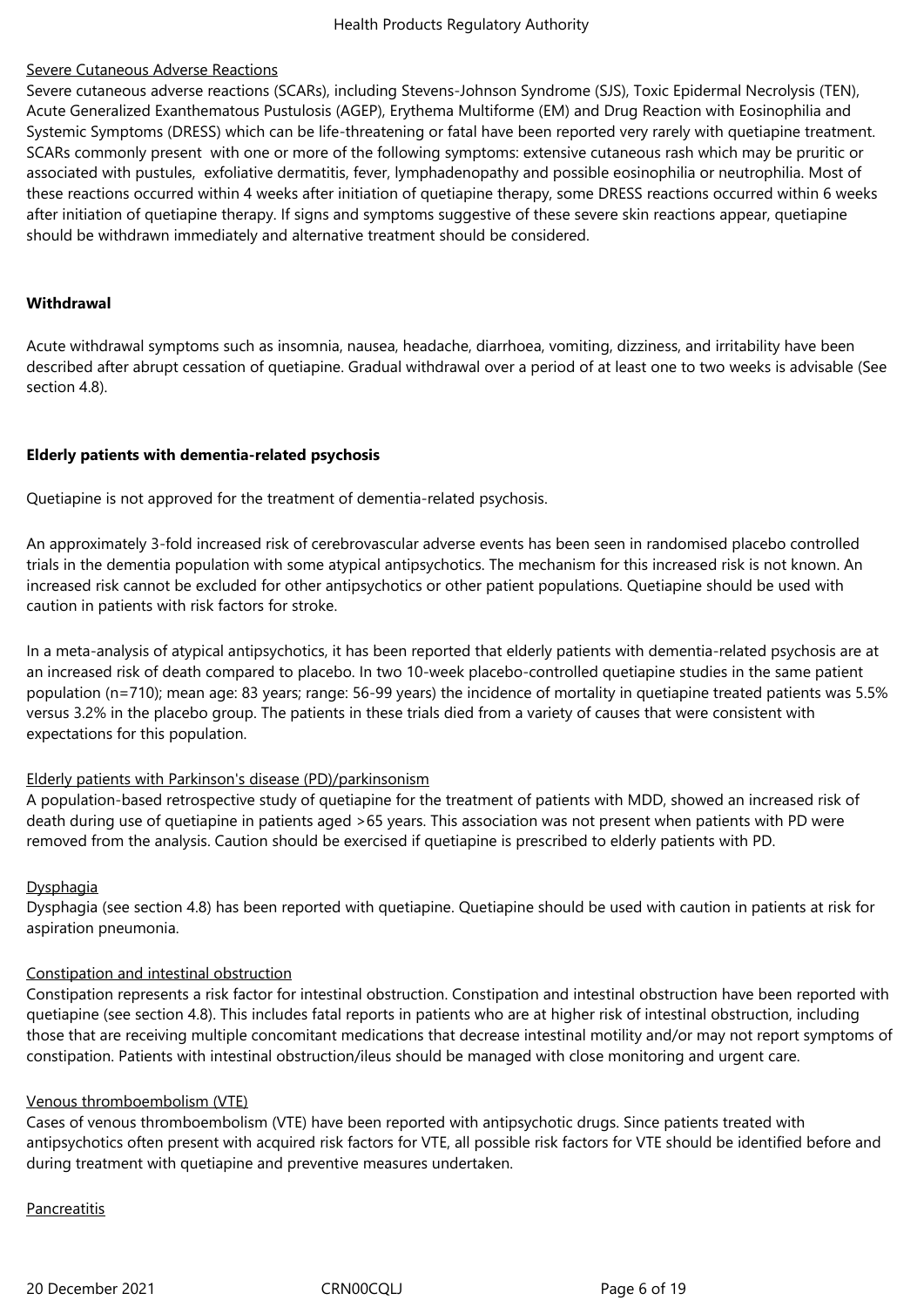### Severe Cutaneous Adverse Reactions

Severe cutaneous adverse reactions (SCARs), including Stevens-Johnson Syndrome (SJS), Toxic Epidermal Necrolysis (TEN), Acute Generalized Exanthematous Pustulosis (AGEP), Erythema Multiforme (EM) and Drug Reaction with Eosinophilia and Systemic Symptoms (DRESS) which can be life-threatening or fatal have been reported very rarely with quetiapine treatment. SCARs commonly present with one or more of the following symptoms: extensive cutaneous rash which may be pruritic or associated with pustules, exfoliative dermatitis, fever, lymphadenopathy and possible eosinophilia or neutrophilia. Most of these reactions occurred within 4 weeks after initiation of quetiapine therapy, some DRESS reactions occurred within 6 weeks after initiation of quetiapine therapy. If signs and symptoms suggestive of these severe skin reactions appear, quetiapine should be withdrawn immediately and alternative treatment should be considered.

#### **Withdrawal**

Acute withdrawal symptoms such as insomnia, nausea, headache, diarrhoea, vomiting, dizziness, and irritability have been described after abrupt cessation of quetiapine. Gradual withdrawal over a period of at least one to two weeks is advisable (See section 4.8).

### **Elderly patients with dementia-related psychosis**

Quetiapine is not approved for the treatment of dementia-related psychosis.

An approximately 3-fold increased risk of cerebrovascular adverse events has been seen in randomised placebo controlled trials in the dementia population with some atypical antipsychotics. The mechanism for this increased risk is not known. An increased risk cannot be excluded for other antipsychotics or other patient populations. Quetiapine should be used with caution in patients with risk factors for stroke.

In a meta-analysis of atypical antipsychotics, it has been reported that elderly patients with dementia-related psychosis are at an increased risk of death compared to placebo. In two 10-week placebo-controlled quetiapine studies in the same patient population (n=710); mean age: 83 years; range: 56-99 years) the incidence of mortality in quetiapine treated patients was 5.5% versus 3.2% in the placebo group. The patients in these trials died from a variety of causes that were consistent with expectations for this population.

### Elderly patients with Parkinson's disease (PD)/parkinsonism

A population-based retrospective study of quetiapine for the treatment of patients with MDD, showed an increased risk of death during use of quetiapine in patients aged >65 years. This association was not present when patients with PD were removed from the analysis. Caution should be exercised if quetiapine is prescribed to elderly patients with PD.

### **Dysphagia**

Dysphagia (see section 4.8) has been reported with quetiapine. Quetiapine should be used with caution in patients at risk for aspiration pneumonia.

### Constipation and intestinal obstruction

Constipation represents a risk factor for intestinal obstruction. Constipation and intestinal obstruction have been reported with quetiapine (see section 4.8). This includes fatal reports in patients who are at higher risk of intestinal obstruction, including those that are receiving multiple concomitant medications that decrease intestinal motility and/or may not report symptoms of constipation. Patients with intestinal obstruction/ileus should be managed with close monitoring and urgent care.

### Venous thromboembolism (VTE)

Cases of venous thromboembolism (VTE) have been reported with antipsychotic drugs. Since patients treated with antipsychotics often present with acquired risk factors for VTE, all possible risk factors for VTE should be identified before and during treatment with quetiapine and preventive measures undertaken.

### **Pancreatitis**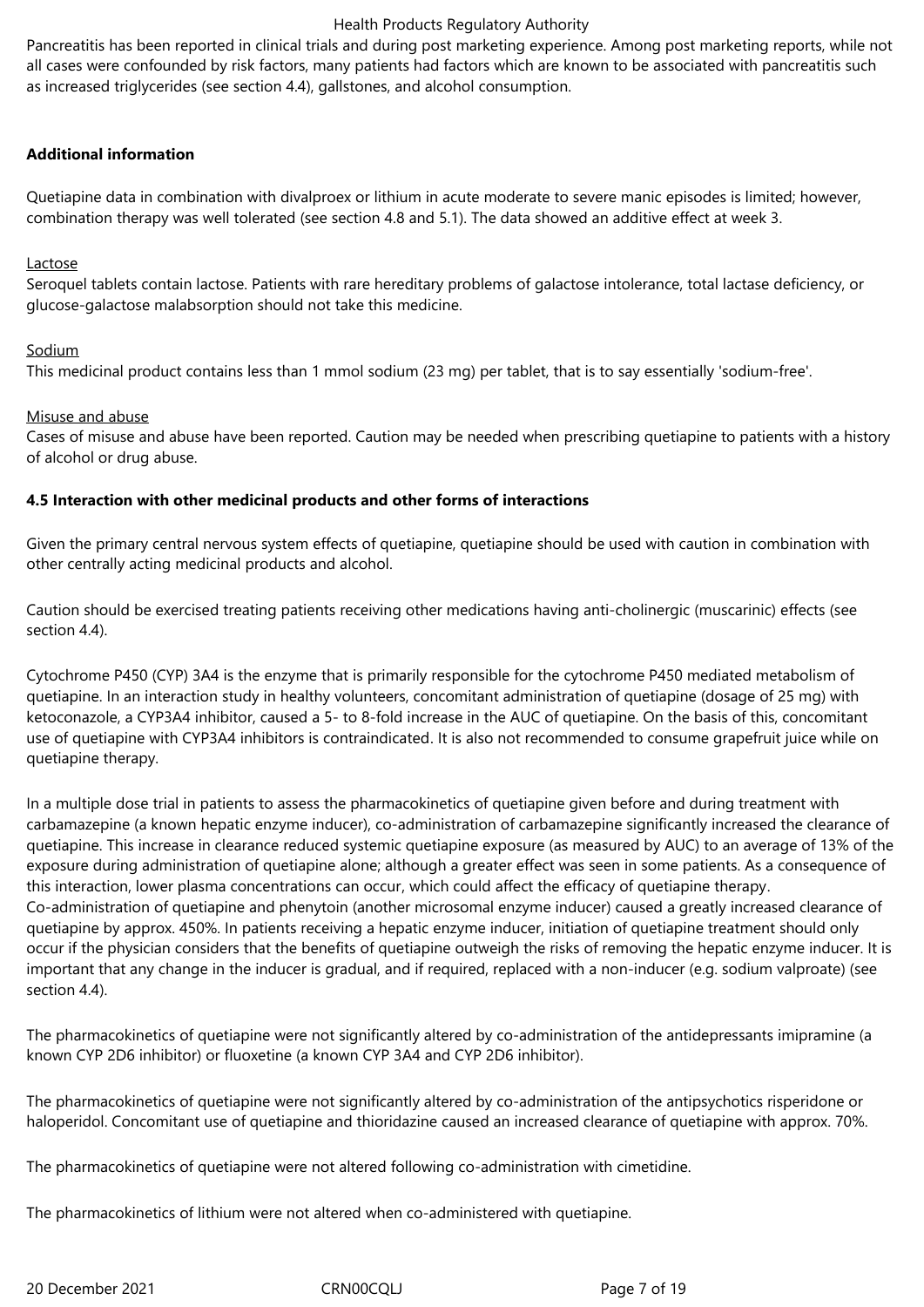Pancreatitis has been reported in clinical trials and during post marketing experience. Among post marketing reports, while not all cases were confounded by risk factors, many patients had factors which are known to be associated with pancreatitis such as increased triglycerides (see section 4.4), gallstones, and alcohol consumption.

### **Additional information**

Quetiapine data in combination with divalproex or lithium in acute moderate to severe manic episodes is limited; however, combination therapy was well tolerated (see section 4.8 and 5.1). The data showed an additive effect at week 3.

### **Lactose**

Seroquel tablets contain lactose. Patients with rare hereditary problems of galactose intolerance, total lactase deficiency, or glucose-galactose malabsorption should not take this medicine.

### Sodium

This medicinal product contains less than 1 mmol sodium (23 mg) per tablet, that is to say essentially 'sodium-free'.

### Misuse and abuse

Cases of misuse and abuse have been reported. Caution may be needed when prescribing quetiapine to patients with a history of alcohol or drug abuse.

### **4.5 Interaction with other medicinal products and other forms of interactions**

Given the primary central nervous system effects of quetiapine, quetiapine should be used with caution in combination with other centrally acting medicinal products and alcohol.

Caution should be exercised treating patients receiving other medications having anti-cholinergic (muscarinic) effects (see section 4.4).

Cytochrome P450 (CYP) 3A4 is the enzyme that is primarily responsible for the cytochrome P450 mediated metabolism of quetiapine. In an interaction study in healthy volunteers, concomitant administration of quetiapine (dosage of 25 mg) with ketoconazole, a CYP3A4 inhibitor, caused a 5- to 8-fold increase in the AUC of quetiapine. On the basis of this, concomitant use of quetiapine with CYP3A4 inhibitors is contraindicated. It is also not recommended to consume grapefruit juice while on quetiapine therapy.

In a multiple dose trial in patients to assess the pharmacokinetics of quetiapine given before and during treatment with carbamazepine (a known hepatic enzyme inducer), co-administration of carbamazepine significantly increased the clearance of quetiapine. This increase in clearance reduced systemic quetiapine exposure (as measured by AUC) to an average of 13% of the exposure during administration of quetiapine alone; although a greater effect was seen in some patients. As a consequence of this interaction, lower plasma concentrations can occur, which could affect the efficacy of quetiapine therapy. Co‑administration of quetiapine and phenytoin (another microsomal enzyme inducer) caused a greatly increased clearance of quetiapine by approx. 450%. In patients receiving a hepatic enzyme inducer, initiation of quetiapine treatment should only occur if the physician considers that the benefits of quetiapine outweigh the risks of removing the hepatic enzyme inducer. It is important that any change in the inducer is gradual, and if required, replaced with a non-inducer (e.g. sodium valproate) (see section 4.4).

The pharmacokinetics of quetiapine were not significantly altered by co-administration of the antidepressants imipramine (a known CYP 2D6 inhibitor) or fluoxetine (a known CYP 3A4 and CYP 2D6 inhibitor).

The pharmacokinetics of quetiapine were not significantly altered by co-administration of the antipsychotics risperidone or haloperidol. Concomitant use of quetiapine and thioridazine caused an increased clearance of quetiapine with approx. 70%.

The pharmacokinetics of quetiapine were not altered following co-administration with cimetidine.

The pharmacokinetics of lithium were not altered when co-administered with quetiapine.

20 December 2021 CRN00CQLJ Page 7 of 19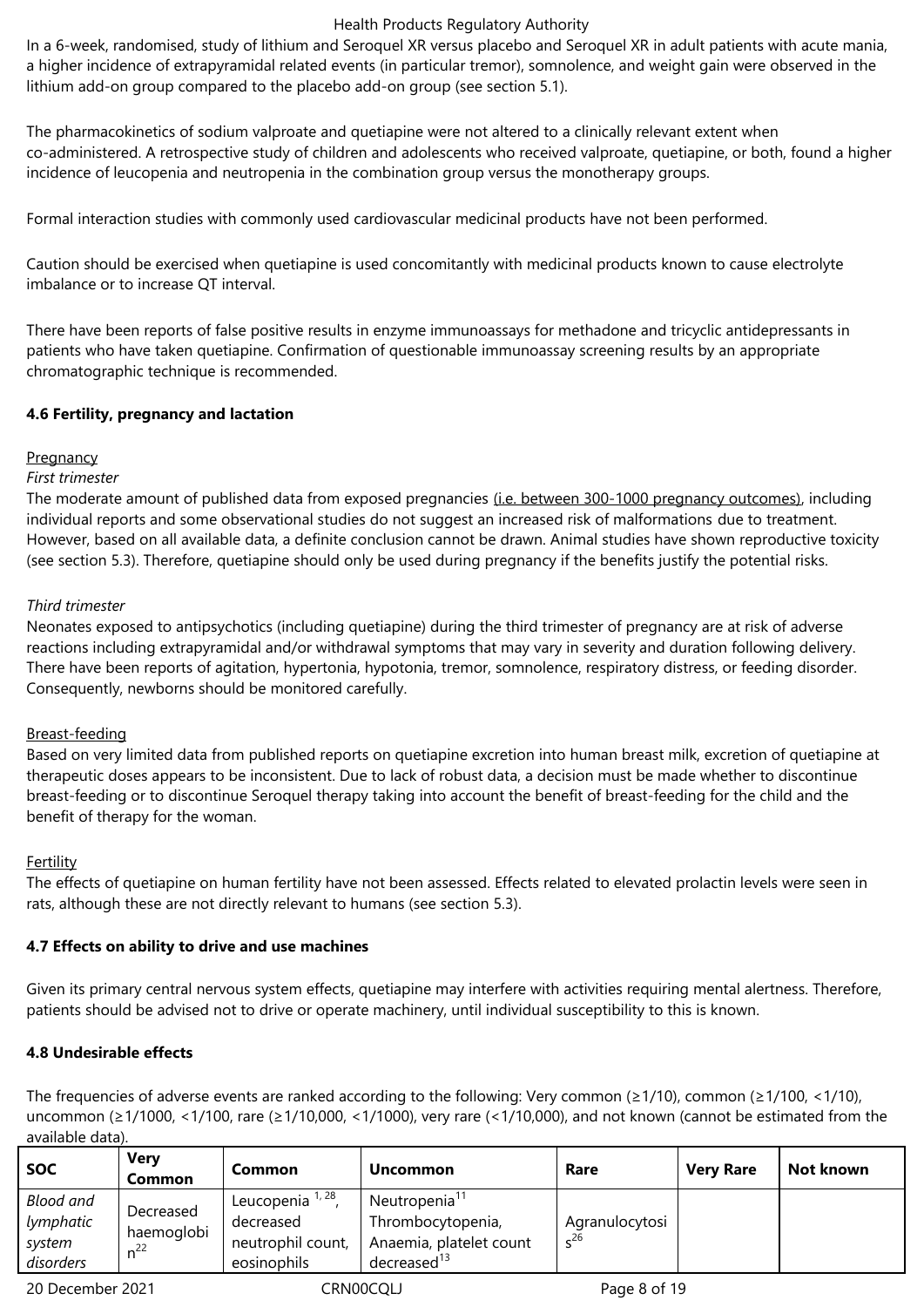In a 6-week, randomised, study of lithium and Seroquel XR versus placebo and Seroquel XR in adult patients with acute mania, a higher incidence of extrapyramidal related events (in particular tremor), somnolence, and weight gain were observed in the lithium add-on group compared to the placebo add-on group (see section 5.1).

The pharmacokinetics of sodium valproate and quetiapine were not altered to a clinically relevant extent when co-administered. A retrospective study of children and adolescents who received valproate, quetiapine, or both, found a higher incidence of leucopenia and neutropenia in the combination group versus the monotherapy groups.

Formal interaction studies with commonly used cardiovascular medicinal products have not been performed.

Caution should be exercised when quetiapine is used concomitantly with medicinal products known to cause electrolyte imbalance or to increase QT interval.

There have been reports of false positive results in enzyme immunoassays for methadone and tricyclic antidepressants in patients who have taken quetiapine. Confirmation of questionable immunoassay screening results by an appropriate chromatographic technique is recommended.

# **4.6 Fertility, pregnancy and lactation**

# **Pregnancy**

# *First trimester*

The moderate amount of published data from exposed pregnancies (i.e. between 300-1000 pregnancy outcomes), including individual reports and some observational studies do not suggest an increased risk of malformations due to treatment. However, based on all available data, a definite conclusion cannot be drawn. Animal studies have shown reproductive toxicity (see section 5.3). Therefore, quetiapine should only be used during pregnancy if the benefits justify the potential risks.

# *Third trimester*

Neonates exposed to antipsychotics (including quetiapine) during the third trimester of pregnancy are at risk of adverse reactions including extrapyramidal and/or withdrawal symptoms that may vary in severity and duration following delivery. There have been reports of agitation, hypertonia, hypotonia, tremor, somnolence, respiratory distress, or feeding disorder. Consequently, newborns should be monitored carefully.

# Breast-feeding

Based on very limited data from published reports on quetiapine excretion into human breast milk, excretion of quetiapine at therapeutic doses appears to be inconsistent. Due to lack of robust data, a decision must be made whether to discontinue breast-feeding or to discontinue Seroquel therapy taking into account the benefit of breast-feeding for the child and the benefit of therapy for the woman.

# Fertility

The effects of quetiapine on human fertility have not been assessed. Effects related to elevated prolactin levels were seen in rats, although these are not directly relevant to humans (see section 5.3).

# **4.7 Effects on ability to drive and use machines**

Given its primary central nervous system effects, quetiapine may interfere with activities requiring mental alertness. Therefore, patients should be advised not to drive or operate machinery, until individual susceptibility to this is known.

# **4.8 Undesirable effects**

The frequencies of adverse events are ranked according to the following: Very common ( $\geq$ 1/10), common ( $\geq$ 1/100, <1/10), uncommon (≥1/1000, <1/100, rare (≥1/10,000, <1/1000), very rare (<1/10,000), and not known (cannot be estimated from the available data).

| <b>SOC</b>                                    | <b>Very</b><br><b>Common</b>        | Common                                                            | <b>Uncommon</b>                                                                                | Rare                    | <b>Very Rare</b> | Not known |
|-----------------------------------------------|-------------------------------------|-------------------------------------------------------------------|------------------------------------------------------------------------------------------------|-------------------------|------------------|-----------|
| Blood and<br>lymphatic<br>system<br>disorders | Decreased<br>haemoglobi<br>$n^{22}$ | <sup>1, 28</sup><br>decreased<br>neutrophil count,<br>eosinophils | Neutropenia <sup>11</sup><br>Thrombocytopenia,<br>Anaemia, platelet count<br>decreased $^{13}$ | Agranulocytosi<br>$-26$ |                  |           |
|                                               |                                     |                                                                   |                                                                                                |                         |                  |           |

20 December 2021 CRN00CQLJ Page 8 of 19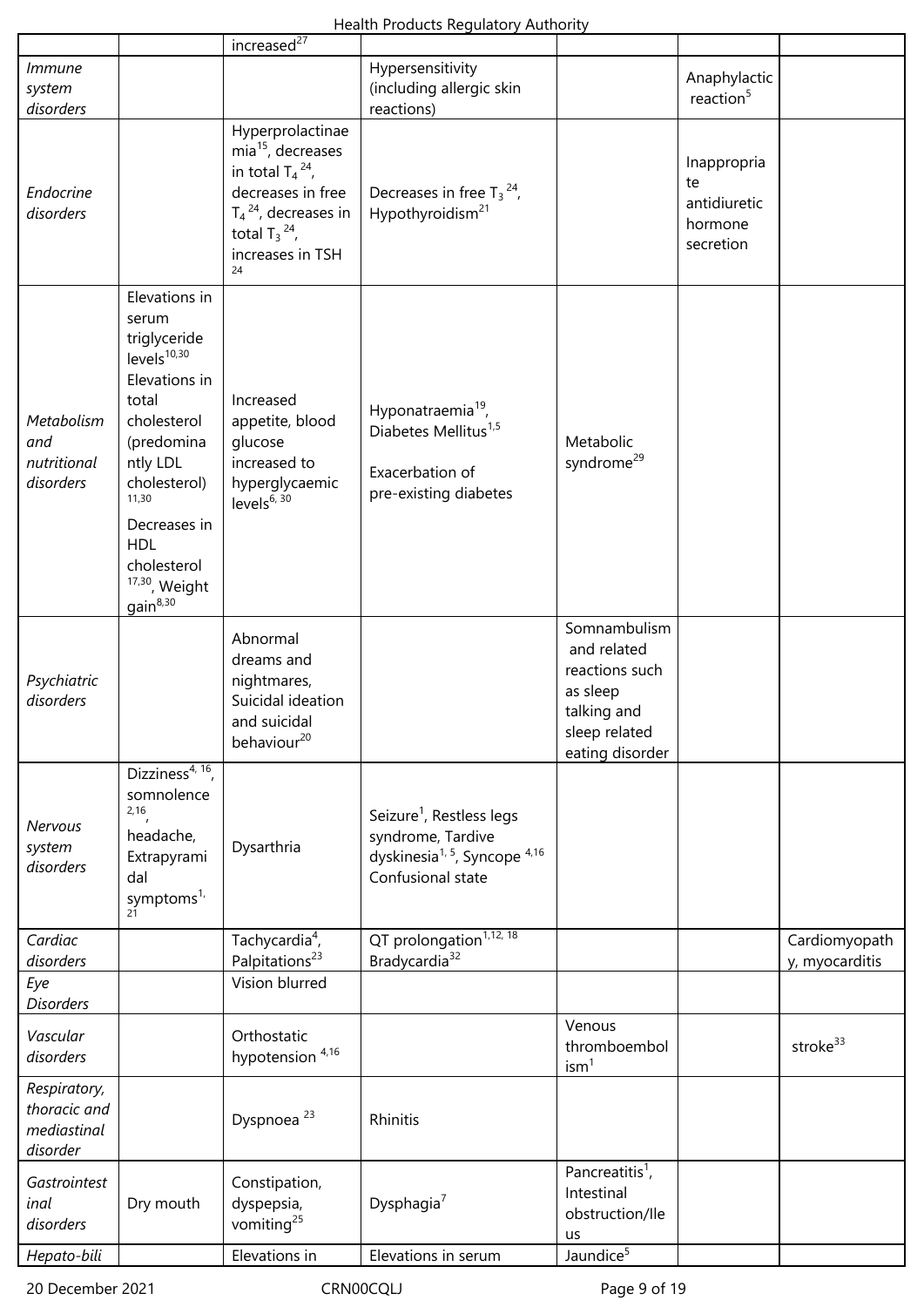Health Products Regulatory Authority

|                                                         |                                                                                                                                                                                                                                                        | increased $\overline{d^{27}}$                                                                                                                                         |                                                                                                                                        |                                                                                                              |                                                           |                                 |
|---------------------------------------------------------|--------------------------------------------------------------------------------------------------------------------------------------------------------------------------------------------------------------------------------------------------------|-----------------------------------------------------------------------------------------------------------------------------------------------------------------------|----------------------------------------------------------------------------------------------------------------------------------------|--------------------------------------------------------------------------------------------------------------|-----------------------------------------------------------|---------------------------------|
| <i>Immune</i><br>system<br>disorders                    |                                                                                                                                                                                                                                                        |                                                                                                                                                                       | Hypersensitivity<br>(including allergic skin<br>reactions)                                                                             |                                                                                                              | Anaphylactic<br>reaction <sup>5</sup>                     |                                 |
| Endocrine<br>disorders                                  |                                                                                                                                                                                                                                                        | Hyperprolactinae<br>$mia15$ , decreases<br>in total $T_4^2$ ,<br>decreases in free<br>$T_4$ <sup>24</sup> , decreases in<br>total $T_3^2$ ,<br>increases in TSH<br>24 | Decreases in free $T_3^{24}$ ,<br>Hypothyroidism <sup>21</sup>                                                                         |                                                                                                              | Inappropria<br>te<br>antidiuretic<br>hormone<br>secretion |                                 |
| Metabolism<br>and<br>nutritional<br>disorders           | Elevations in<br>serum<br>triglyceride<br>levels <sup>10,30</sup><br>Elevations in<br>total<br>cholesterol<br>(predomina<br>ntly LDL<br>cholesterol)<br>11,30<br>Decreases in<br><b>HDL</b><br>cholesterol<br>$17,30$ , Weight<br>gain <sup>8,30</sup> | Increased<br>appetite, blood<br>glucose<br>increased to<br>hyperglycaemic<br>levels <sup><math>6, 30</math></sup>                                                     | Hyponatraemia <sup>19</sup> ,<br>Diabetes Mellitus <sup>1,5</sup><br>Exacerbation of<br>pre-existing diabetes                          | Metabolic<br>syndrome <sup>29</sup>                                                                          |                                                           |                                 |
| Psychiatric<br>disorders                                |                                                                                                                                                                                                                                                        | Abnormal<br>dreams and<br>nightmares,<br>Suicidal ideation<br>and suicidal<br>behaviour <sup>20</sup>                                                                 |                                                                                                                                        | Somnambulism<br>and related<br>reactions such<br>as sleep<br>talking and<br>sleep related<br>eating disorder |                                                           |                                 |
| <b>Nervous</b><br>system<br>disorders                   | Dizziness <sup>4, 16</sup> ,<br>somnolence<br>2,16<br>headache,<br>Extrapyrami<br>dal<br>symptoms <sup>1,</sup><br>21                                                                                                                                  | Dysarthria                                                                                                                                                            | Seizure <sup>1</sup> , Restless legs<br>syndrome, Tardive<br>dyskinesia <sup>1, 5</sup> , Syncope <sup>4,16</sup><br>Confusional state |                                                                                                              |                                                           |                                 |
| Cardiac<br>disorders                                    |                                                                                                                                                                                                                                                        | Tachycardia <sup>4</sup> ,<br>Palpitations <sup>23</sup>                                                                                                              | QT prolongation <sup>1,12, 18</sup><br>Bradycardia <sup>32</sup>                                                                       |                                                                                                              |                                                           | Cardiomyopath<br>y, myocarditis |
| Eye<br><b>Disorders</b>                                 |                                                                                                                                                                                                                                                        | Vision blurred                                                                                                                                                        |                                                                                                                                        |                                                                                                              |                                                           |                                 |
| Vascular<br>disorders                                   |                                                                                                                                                                                                                                                        | Orthostatic<br>hypotension <sup>4,16</sup>                                                                                                                            |                                                                                                                                        | Venous<br>thromboembol<br>ism <sup>1</sup>                                                                   |                                                           | stroke <sup>33</sup>            |
| Respiratory,<br>thoracic and<br>mediastinal<br>disorder |                                                                                                                                                                                                                                                        | Dyspnoea <sup>23</sup>                                                                                                                                                | Rhinitis                                                                                                                               |                                                                                                              |                                                           |                                 |
| Gastrointest<br>inal<br>disorders                       | Dry mouth                                                                                                                                                                                                                                              | Constipation,<br>dyspepsia,<br>vomiting <sup>25</sup>                                                                                                                 | Dysphagia <sup>7</sup>                                                                                                                 | Pancreatitis <sup>1</sup> ,<br>Intestinal<br>obstruction/lle<br><b>us</b>                                    |                                                           |                                 |
| Hepato-bili                                             |                                                                                                                                                                                                                                                        | Elevations in                                                                                                                                                         | Elevations in serum                                                                                                                    | Jaundice <sup>5</sup>                                                                                        |                                                           |                                 |

20 December 2021 CRN00CQLJ CRNOOCQLJ Page 9 of 19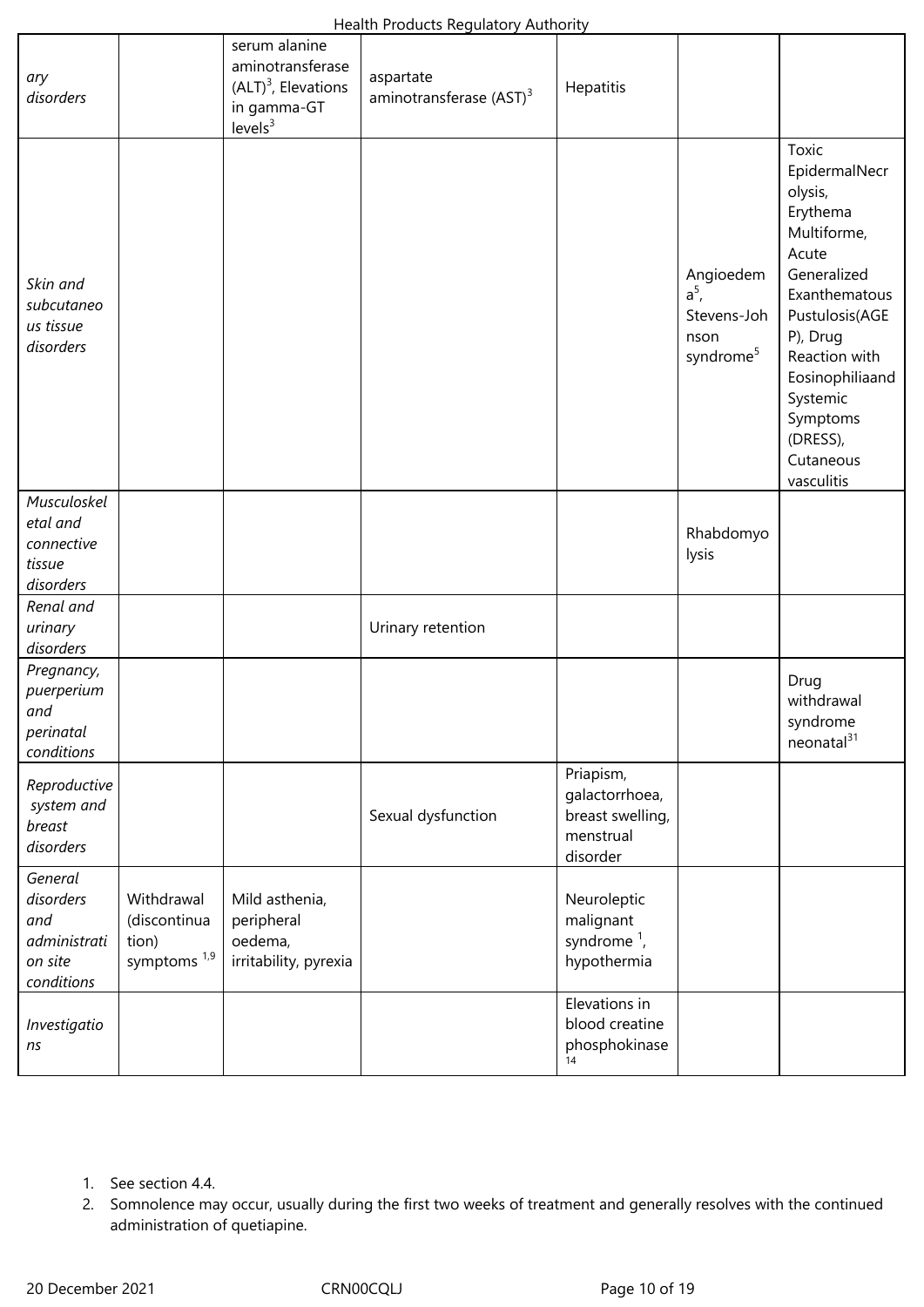| ary<br>disorders                                                     |                                                                | serum alanine<br>aminotransferase<br>$(ALT)^3$ , Elevations<br>in gamma-GT<br>levels <sup>3</sup> | $\ldots$<br>aspartate<br>aminotransferase (AST) <sup>3</sup> | Hepatitis                                                                |                                                                      |                                                                                                                                                                                                                                        |
|----------------------------------------------------------------------|----------------------------------------------------------------|---------------------------------------------------------------------------------------------------|--------------------------------------------------------------|--------------------------------------------------------------------------|----------------------------------------------------------------------|----------------------------------------------------------------------------------------------------------------------------------------------------------------------------------------------------------------------------------------|
| Skin and<br>subcutaneo<br>us tissue<br>disorders                     |                                                                |                                                                                                   |                                                              |                                                                          | Angioedem<br>$a^5$ ,<br>Stevens-Joh<br>nson<br>syndrome <sup>5</sup> | Toxic<br>EpidermalNecr<br>olysis,<br>Erythema<br>Multiforme,<br>Acute<br>Generalized<br>Exanthematous<br>Pustulosis(AGE<br>P), Drug<br>Reaction with<br>Eosinophiliaand<br>Systemic<br>Symptoms<br>(DRESS),<br>Cutaneous<br>vasculitis |
| Musculoskel<br>etal and<br>connective<br>tissue<br>disorders         |                                                                |                                                                                                   |                                                              |                                                                          | Rhabdomyo<br>lysis                                                   |                                                                                                                                                                                                                                        |
| Renal and<br>urinary<br>disorders                                    |                                                                |                                                                                                   | Urinary retention                                            |                                                                          |                                                                      |                                                                                                                                                                                                                                        |
| Pregnancy,<br>puerperium<br>and<br>perinatal<br>conditions           |                                                                |                                                                                                   |                                                              |                                                                          |                                                                      | Drug<br>withdrawal<br>syndrome<br>neonatal <sup>31</sup>                                                                                                                                                                               |
| Reproductive<br>system and<br>breast<br>disorders                    |                                                                |                                                                                                   | Sexual dysfunction                                           | Priapism,<br>galactorrhoea,<br>breast swelling,<br>menstrual<br>disorder |                                                                      |                                                                                                                                                                                                                                        |
| General<br>disorders<br>and<br>administrati<br>on site<br>conditions | Withdrawal<br>(discontinua<br>tion)<br>symptoms <sup>1,9</sup> | Mild asthenia,<br>peripheral<br>oedema,<br>irritability, pyrexia                                  |                                                              | Neuroleptic<br>malignant<br>syndrome $1$ ,<br>hypothermia                |                                                                      |                                                                                                                                                                                                                                        |
| Investigatio<br>ns                                                   |                                                                |                                                                                                   |                                                              | Elevations in<br>blood creatine<br>phosphokinase                         |                                                                      |                                                                                                                                                                                                                                        |

- 1. See section 4.4.
- 2. Somnolence may occur, usually during the first two weeks of treatment and generally resolves with the continued administration of quetiapine.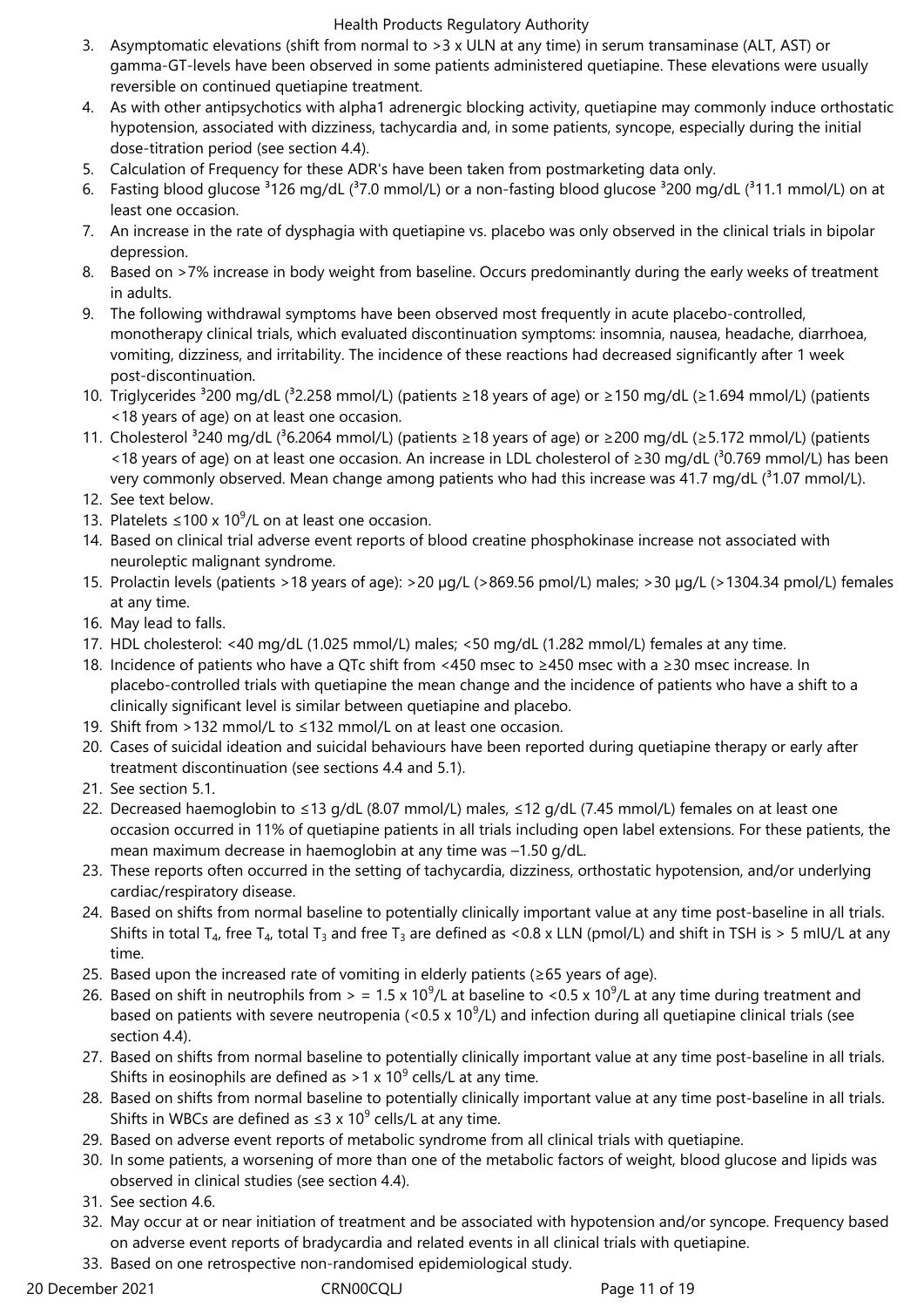- 3. Asymptomatic elevations (shift from normal to >3 x ULN at any time) in serum transaminase (ALT, AST) or gamma-GT-levels have been observed in some patients administered quetiapine. These elevations were usually reversible on continued quetiapine treatment.
- 4. As with other antipsychotics with alpha1 adrenergic blocking activity, quetiapine may commonly induce orthostatic hypotension, associated with dizziness, tachycardia and, in some patients, syncope, especially during the initial dose-titration period (see section 4.4).
- 5. Calculation of Frequency for these ADR's have been taken from postmarketing data only.
- 6. Fasting blood glucose  $3126$  mg/dL ( $37.0$  mmol/L) or a non-fasting blood glucose  $3200$  mg/dL ( $311.1$  mmol/L) on at least one occasion.
- 7. An increase in the rate of dysphagia with quetiapine vs. placebo was only observed in the clinical trials in bipolar depression.
- 8. Based on >7% increase in body weight from baseline. Occurs predominantly during the early weeks of treatment in adults.
- 9. The following withdrawal symptoms have been observed most frequently in acute placebo-controlled, monotherapy clinical trials, which evaluated discontinuation symptoms: insomnia, nausea, headache, diarrhoea, vomiting, dizziness, and irritability. The incidence of these reactions had decreased significantly after 1 week post-discontinuation.
- 10. Triglycerides ³200 mg/dL (³2.258 mmol/L) (patients ≥18 years of age) or ≥150 mg/dL (≥1.694 mmol/L) (patients <18 years of age) on at least one occasion.
- 11. Cholesterol <sup>3</sup>240 mg/dL (<sup>3</sup>6.2064 mmol/L) (patients ≥18 years of age) or ≥200 mg/dL (≥5.172 mmol/L) (patients <18 years of age) on at least one occasion. An increase in LDL cholesterol of ≥30 mg/dL (<sup>3</sup>0.769 mmol/L) has been very commonly observed. Mean change among patients who had this increase was 41.7 mg/dL  $(^31.07 \text{ mmol/L})$ .
- 12. See text below.
- 13. Platelets ≤100 x 10<sup>9</sup>/L on at least one occasion.
- 14. Based on clinical trial adverse event reports of blood creatine phosphokinase increase not associated with neuroleptic malignant syndrome.
- 15. Prolactin levels (patients >18 years of age): >20 µg/L (>869.56 pmol/L) males; >30 µg/L (>1304.34 pmol/L) females at any time.
- 16. May lead to falls.
- 17. HDL cholesterol: <40 mg/dL (1.025 mmol/L) males; <50 mg/dL (1.282 mmol/L) females at any time.
- 18. Incidence of patients who have a QTc shift from <450 msec to ≥450 msec with a ≥30 msec increase. In placebo-controlled trials with quetiapine the mean change and the incidence of patients who have a shift to a clinically significant level is similar between quetiapine and placebo.
- 19. Shift from >132 mmol/L to ≤132 mmol/L on at least one occasion.
- 20. Cases of suicidal ideation and suicidal behaviours have been reported during quetiapine therapy or early after treatment discontinuation (see sections 4.4 and 5.1).
- 21. See section 5.1.
- 22. Decreased haemoglobin to ≤13 g/dL (8.07 mmol/L) males, ≤12 g/dL (7.45 mmol/L) females on at least one occasion occurred in 11% of quetiapine patients in all trials including open label extensions. For these patients, the mean maximum decrease in haemoglobin at any time was –1.50 g/dL.
- 23. These reports often occurred in the setting of tachycardia, dizziness, orthostatic hypotension, and/or underlying cardiac/respiratory disease.
- 24. Based on shifts from normal baseline to potentially clinically important value at any time post-baseline in all trials. Shifts in total T<sub>4</sub>, free T<sub>4</sub>, total T<sub>3</sub> and free T<sub>3</sub> are defined as <0.8 x LLN (pmol/L) and shift in TSH is > 5 mIU/L at any time.
- 25. Based upon the increased rate of vomiting in elderly patients (≥65 years of age).
- 26. Based on shift in neutrophils from > = 1.5 x 10<sup>9</sup>/L at baseline to <0.5 x 10<sup>9</sup>/L at any time during treatment and based on patients with severe neutropenia (<0.5 x 10<sup>9</sup>/L) and infection during all quetiapine clinical trials (see section 4.4).
- 27. Based on shifts from normal baseline to potentially clinically important value at any time post-baseline in all trials. Shifts in eosinophils are defined as >1 x 10<sup>9</sup> cells/L at any time.
- 28. Based on shifts from normal baseline to potentially clinically important value at any time post-baseline in all trials. Shifts in WBCs are defined as  $\leq$ 3 x 10<sup>9</sup> cells/L at any time.
- 29. Based on adverse event reports of metabolic syndrome from all clinical trials with quetiapine.
- 30. In some patients, a worsening of more than one of the metabolic factors of weight, blood glucose and lipids was observed in clinical studies (see section 4.4).
- 31. See section 4.6.
- 32. May occur at or near initiation of treatment and be associated with hypotension and/or syncope. Frequency based on adverse event reports of bradycardia and related events in all clinical trials with quetiapine.
- 33. Based on one retrospective non-randomised epidemiological study.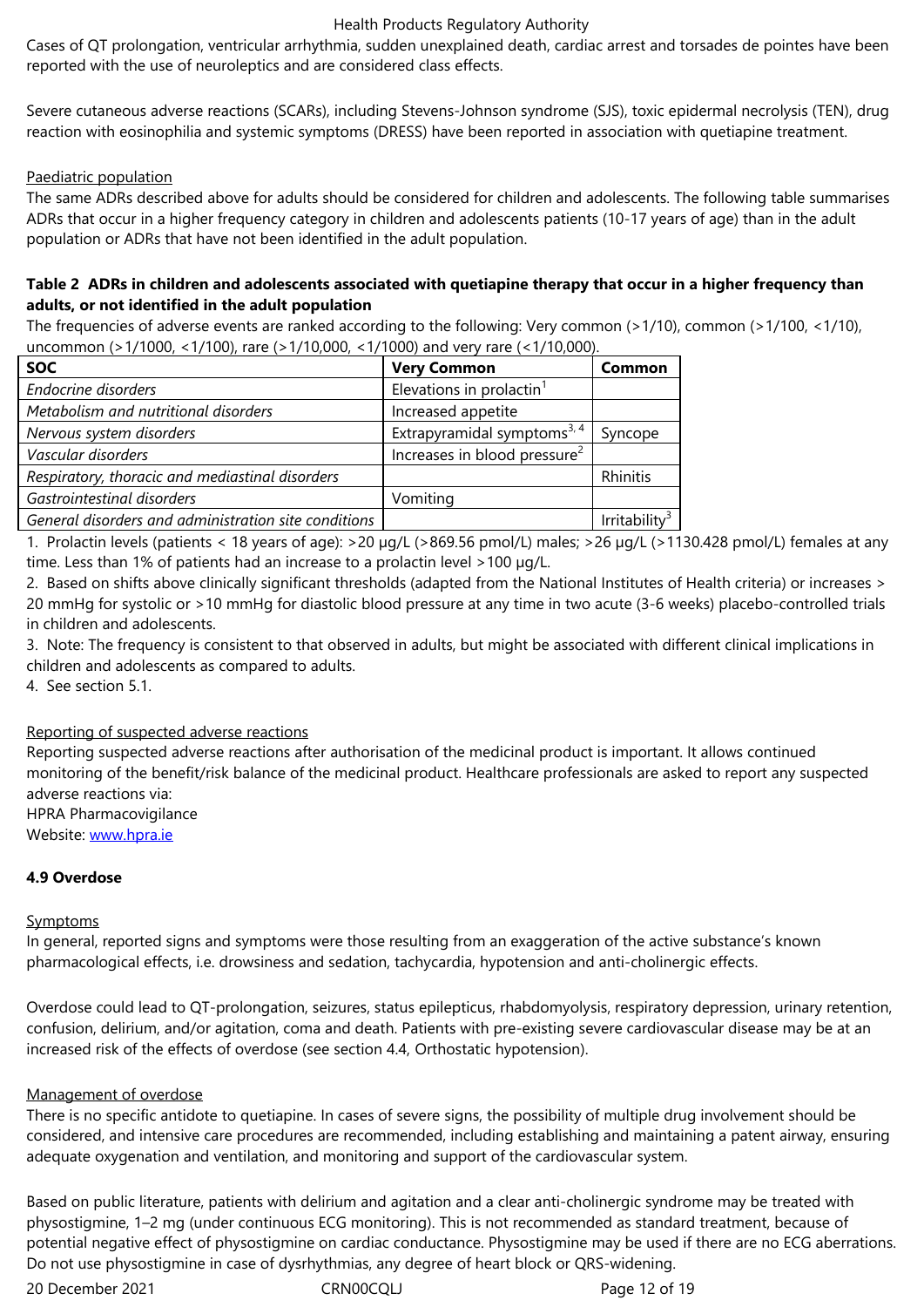Severe cutaneous adverse reactions (SCARs), including Stevens-Johnson syndrome (SJS), toxic epidermal necrolysis (TEN), drug reaction with eosinophilia and systemic symptoms (DRESS) have been reported in association with quetiapine treatment.

### Paediatric population

The same ADRs described above for adults should be considered for children and adolescents. The following table summarises ADRs that occur in a higher frequency category in children and adolescents patients (10-17 years of age) than in the adult population or ADRs that have not been identified in the adult population.

### **Table 2 ADRs in children and adolescents associated with quetiapine therapy that occur in a higher frequency than adults, or not identified in the adult population**

The frequencies of adverse events are ranked according to the following: Very common (>1/10), common (>1/100, <1/10), uncommon (>1/1000, <1/100), rare (>1/10,000, <1/1000) and very rare (<1/10,000).

| <b>SOC</b>                                           | <b>Very Common</b>                       | Common       |
|------------------------------------------------------|------------------------------------------|--------------|
| Endocrine disorders                                  | Elevations in prolactin <sup>1</sup>     |              |
| Metabolism and nutritional disorders                 | Increased appetite                       |              |
| Nervous system disorders                             | Extrapyramidal symptoms <sup>3, 4</sup>  | Syncope      |
| Vascular disorders                                   | Increases in blood pressure <sup>2</sup> |              |
| Respiratory, thoracic and mediastinal disorders      |                                          | Rhinitis     |
| Gastrointestinal disorders                           | Vomiting                                 |              |
| General disorders and administration site conditions |                                          | Irritability |

1. Prolactin levels (patients < 18 years of age): >20 µg/L (>869.56 pmol/L) males; >26 µg/L (>1130.428 pmol/L) females at any time. Less than 1% of patients had an increase to a prolactin level >100 µg/L.

2. Based on shifts above clinically significant thresholds (adapted from the National Institutes of Health criteria) or increases > 20 mmHg for systolic or >10 mmHg for diastolic blood pressure at any time in two acute (3-6 weeks) placebo-controlled trials in children and adolescents.

3. Note: The frequency is consistent to that observed in adults, but might be associated with different clinical implications in children and adolescents as compared to adults.

4. See section 5.1.

# Reporting of suspected adverse reactions

Reporting suspected adverse reactions after authorisation of the medicinal product is important. It allows continued monitoring of the benefit/risk balance of the medicinal product. Healthcare professionals are asked to report any suspected adverse reactions via:

HPRA Pharmacovigilance

Website: www.hpra.ie

# **4.9 Overdose**

### **Sympto[ms](http://www.hpra.ie/)**

In general, reported signs and symptoms were those resulting from an exaggeration of the active substance's known pharmacological effects, i.e. drowsiness and sedation, tachycardia, hypotension and anti-cholinergic effects.

Overdose could lead to QT-prolongation, seizures, status epilepticus, rhabdomyolysis, respiratory depression, urinary retention, confusion, delirium, and/or agitation, coma and death. Patients with pre-existing severe cardiovascular disease may be at an increased risk of the effects of overdose (see section 4.4, Orthostatic hypotension).

### Management of overdose

There is no specific antidote to quetiapine. In cases of severe signs, the possibility of multiple drug involvement should be considered, and intensive care procedures are recommended, including establishing and maintaining a patent airway, ensuring adequate oxygenation and ventilation, and monitoring and support of the cardiovascular system.

Based on public literature, patients with delirium and agitation and a clear anti-cholinergic syndrome may be treated with physostigmine, 1–2 mg (under continuous ECG monitoring). This is not recommended as standard treatment, because of potential negative effect of physostigmine on cardiac conductance. Physostigmine may be used if there are no ECG aberrations. Do not use physostigmine in case of dysrhythmias, any degree of heart block or QRS-widening.

20 December 2021 CRN00CQLJ Page 12 of 19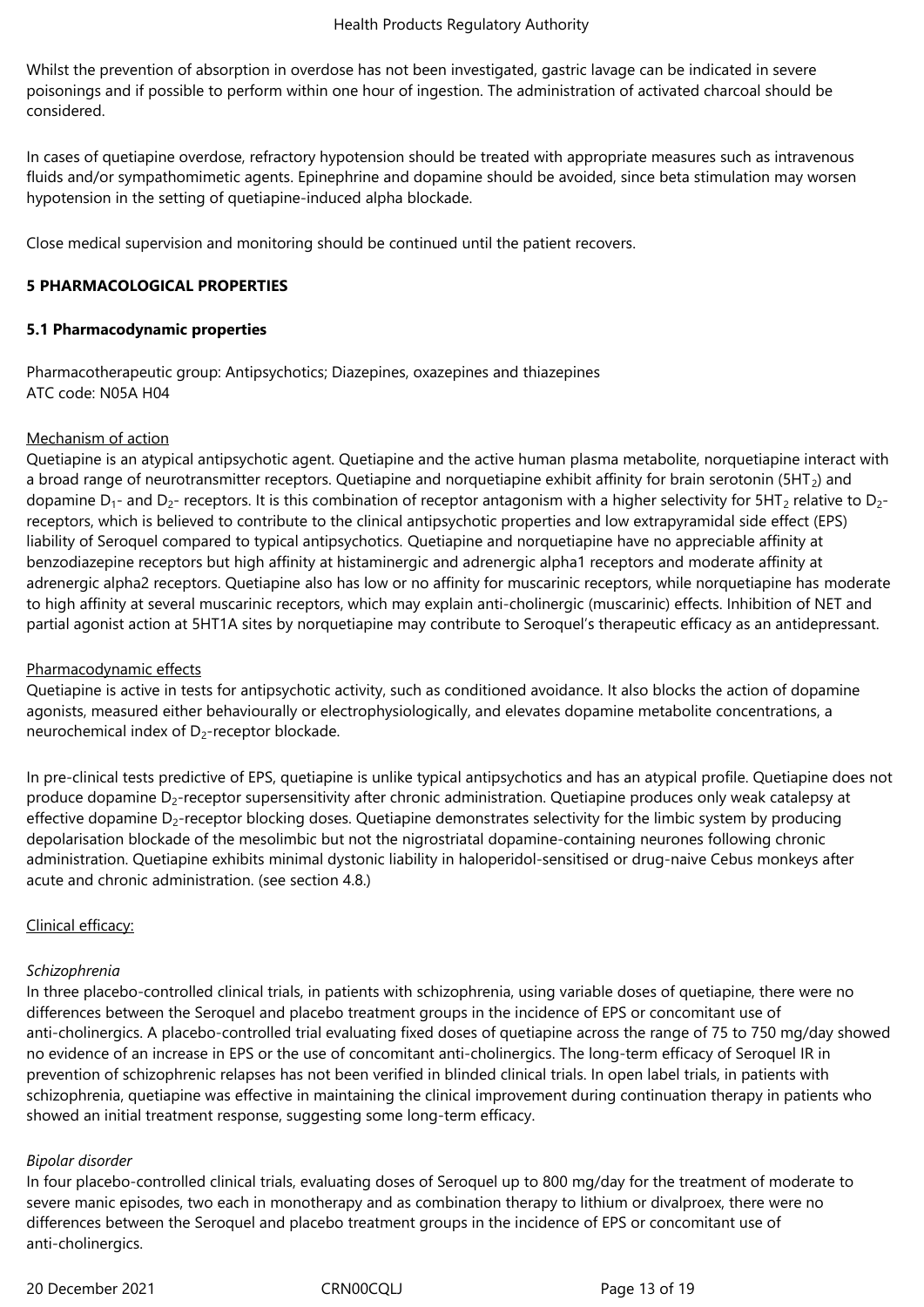Whilst the prevention of absorption in overdose has not been investigated, gastric lavage can be indicated in severe poisonings and if possible to perform within one hour of ingestion. The administration of activated charcoal should be considered.

In cases of quetiapine overdose, refractory hypotension should be treated with appropriate measures such as intravenous fluids and/or sympathomimetic agents. Epinephrine and dopamine should be avoided, since beta stimulation may worsen hypotension in the setting of quetiapine-induced alpha blockade.

Close medical supervision and monitoring should be continued until the patient recovers.

### **5 PHARMACOLOGICAL PROPERTIES**

### **5.1 Pharmacodynamic properties**

Pharmacotherapeutic group: Antipsychotics; Diazepines, oxazepines and thiazepines ATC code: N05A H04

### Mechanism of action

Quetiapine is an atypical antipsychotic agent. Quetiapine and the active human plasma metabolite, norquetiapine interact with a broad range of neurotransmitter receptors. Quetiapine and norquetiapine exhibit affinity for brain serotonin ( $5HT<sub>2</sub>$ ) and dopamine  $D_1$ - and  $D_2$ - receptors. It is this combination of receptor antagonism with a higher selectivity for 5HT<sub>2</sub> relative to  $D_2$ receptors, which is believed to contribute to the clinical antipsychotic properties and low extrapyramidal side effect (EPS) liability of Seroquel compared to typical antipsychotics. Quetiapine and norquetiapine have no appreciable affinity at benzodiazepine receptors but high affinity at histaminergic and adrenergic alpha1 receptors and moderate affinity at adrenergic alpha2 receptors. Quetiapine also has low or no affinity for muscarinic receptors, while norquetiapine has moderate to high affinity at several muscarinic receptors, which may explain anti-cholinergic (muscarinic) effects. Inhibition of NET and partial agonist action at 5HT1A sites by norquetiapine may contribute to Seroquel's therapeutic efficacy as an antidepressant.

# Pharmacodynamic effects

Quetiapine is active in tests for antipsychotic activity, such as conditioned avoidance. It also blocks the action of dopamine agonists, measured either behaviourally or electrophysiologically, and elevates dopamine metabolite concentrations, a neurochemical index of  $D_2$ -receptor blockade.

In pre-clinical tests predictive of EPS, quetiapine is unlike typical antipsychotics and has an atypical profile. Quetiapine does not produce dopamine D<sub>2</sub>-receptor supersensitivity after chronic administration. Quetiapine produces only weak catalepsy at effective dopamine  $D_2$ -receptor blocking doses. Quetiapine demonstrates selectivity for the limbic system by producing depolarisation blockade of the mesolimbic but not the nigrostriatal dopamine-containing neurones following chronic administration. Quetiapine exhibits minimal dystonic liability in haloperidol-sensitised or drug-naive Cebus monkeys after acute and chronic administration. (see section 4.8.)

# Clinical efficacy:

### *Schizophrenia*

In three placebo-controlled clinical trials, in patients with schizophrenia, using variable doses of quetiapine, there were no differences between the Seroquel and placebo treatment groups in the incidence of EPS or concomitant use of anti-cholinergics. A placebo-controlled trial evaluating fixed doses of quetiapine across the range of 75 to 750 mg/day showed no evidence of an increase in EPS or the use of concomitant anti-cholinergics. The long-term efficacy of Seroquel IR in prevention of schizophrenic relapses has not been verified in blinded clinical trials. In open label trials, in patients with schizophrenia, quetiapine was effective in maintaining the clinical improvement during continuation therapy in patients who showed an initial treatment response, suggesting some long-term efficacy.

### *Bipolar disorder*

In four placebo-controlled clinical trials, evaluating doses of Seroquel up to 800 mg/day for the treatment of moderate to severe manic episodes, two each in monotherapy and as combination therapy to lithium or divalproex, there were no differences between the Seroquel and placebo treatment groups in the incidence of EPS or concomitant use of anti-cholinergics.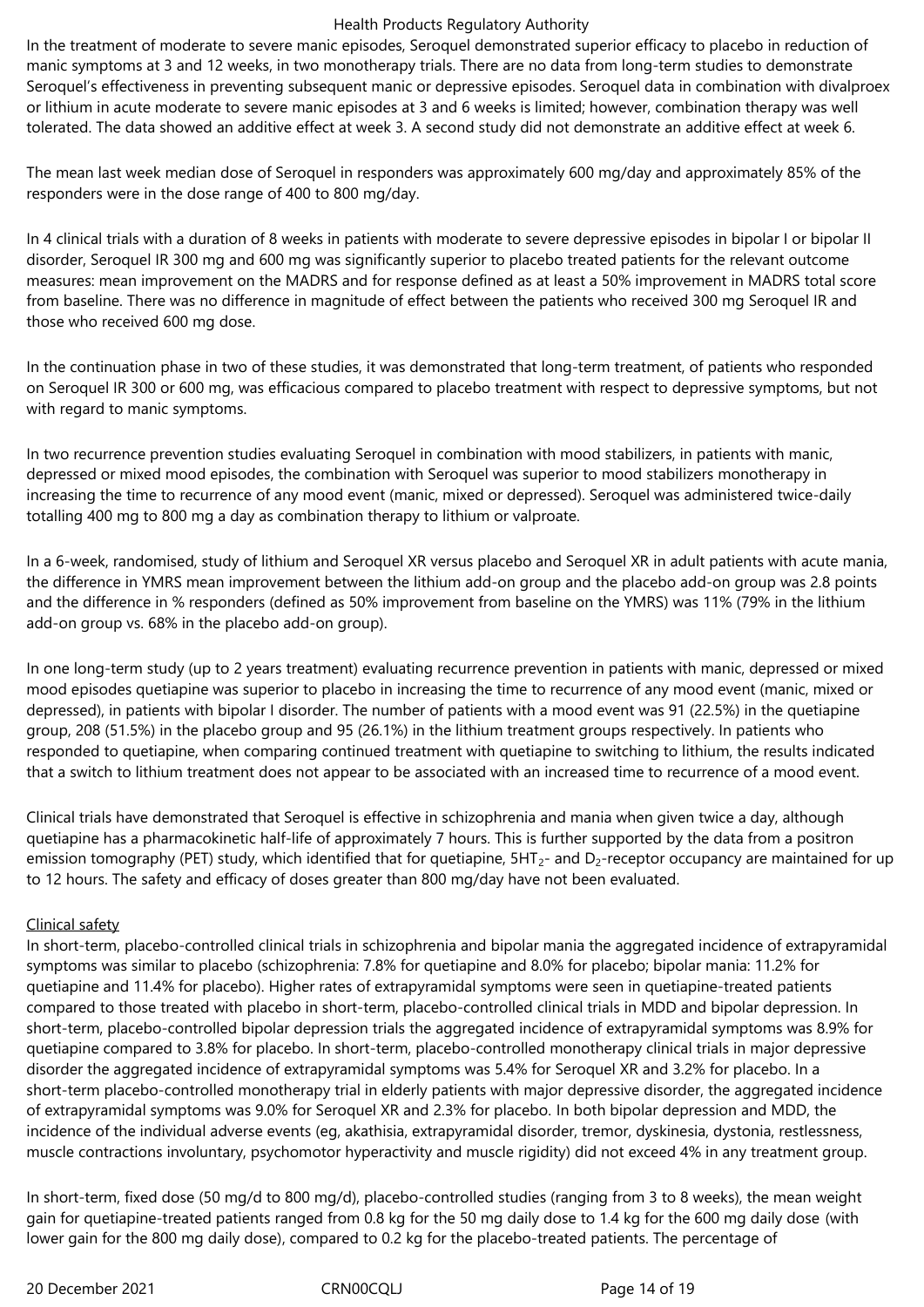In the treatment of moderate to severe manic episodes, Seroquel demonstrated superior efficacy to placebo in reduction of manic symptoms at 3 and 12 weeks, in two monotherapy trials. There are no data from long-term studies to demonstrate Seroquel's effectiveness in preventing subsequent manic or depressive episodes. Seroquel data in combination with divalproex or lithium in acute moderate to severe manic episodes at 3 and 6 weeks is limited; however, combination therapy was well tolerated. The data showed an additive effect at week 3. A second study did not demonstrate an additive effect at week 6.

The mean last week median dose of Seroquel in responders was approximately 600 mg/day and approximately 85% of the responders were in the dose range of 400 to 800 mg/day.

In 4 clinical trials with a duration of 8 weeks in patients with moderate to severe depressive episodes in bipolar I or bipolar II disorder, Seroquel IR 300 mg and 600 mg was significantly superior to placebo treated patients for the relevant outcome measures: mean improvement on the MADRS and for response defined as at least a 50% improvement in MADRS total score from baseline. There was no difference in magnitude of effect between the patients who received 300 mg Seroquel IR and those who received 600 mg dose.

In the continuation phase in two of these studies, it was demonstrated that long-term treatment, of patients who responded on Seroquel IR 300 or 600 mg, was efficacious compared to placebo treatment with respect to depressive symptoms, but not with regard to manic symptoms.

In two recurrence prevention studies evaluating Seroquel in combination with mood stabilizers, in patients with manic, depressed or mixed mood episodes, the combination with Seroquel was superior to mood stabilizers monotherapy in increasing the time to recurrence of any mood event (manic, mixed or depressed). Seroquel was administered twice-daily totalling 400 mg to 800 mg a day as combination therapy to lithium or valproate.

In a 6-week, randomised, study of lithium and Seroquel XR versus placebo and Seroquel XR in adult patients with acute mania, the difference in YMRS mean improvement between the lithium add-on group and the placebo add-on group was 2.8 points and the difference in % responders (defined as 50% improvement from baseline on the YMRS) was 11% (79% in the lithium add-on group vs. 68% in the placebo add-on group).

In one long-term study (up to 2 years treatment) evaluating recurrence prevention in patients with manic, depressed or mixed mood episodes quetiapine was superior to placebo in increasing the time to recurrence of any mood event (manic, mixed or depressed), in patients with bipolar I disorder. The number of patients with a mood event was 91 (22.5%) in the quetiapine group, 208 (51.5%) in the placebo group and 95 (26.1%) in the lithium treatment groups respectively. In patients who responded to quetiapine, when comparing continued treatment with quetiapine to switching to lithium, the results indicated that a switch to lithium treatment does not appear to be associated with an increased time to recurrence of a mood event.

Clinical trials have demonstrated that Seroquel is effective in schizophrenia and mania when given twice a day, although quetiapine has a pharmacokinetic half-life of approximately 7 hours. This is further supported by the data from a positron emission tomography (PET) study, which identified that for quetiapine,  $5HT_{2}$ - and  $D_{2}$ -receptor occupancy are maintained for up to 12 hours. The safety and efficacy of doses greater than 800 mg/day have not been evaluated.

### Clinical safety

In short-term, placebo-controlled clinical trials in schizophrenia and bipolar mania the aggregated incidence of extrapyramidal symptoms was similar to placebo (schizophrenia: 7.8% for quetiapine and 8.0% for placebo; bipolar mania: 11.2% for quetiapine and 11.4% for placebo). Higher rates of extrapyramidal symptoms were seen in quetiapine-treated patients compared to those treated with placebo in short-term, placebo-controlled clinical trials in MDD and bipolar depression. In short-term, placebo-controlled bipolar depression trials the aggregated incidence of extrapyramidal symptoms was 8.9% for quetiapine compared to 3.8% for placebo. In short-term, placebo-controlled monotherapy clinical trials in major depressive disorder the aggregated incidence of extrapyramidal symptoms was 5.4% for Seroquel XR and 3.2% for placebo. In a short-term placebo-controlled monotherapy trial in elderly patients with major depressive disorder, the aggregated incidence of extrapyramidal symptoms was 9.0% for Seroquel XR and 2.3% for placebo. In both bipolar depression and MDD, the incidence of the individual adverse events (eg, akathisia, extrapyramidal disorder, tremor, dyskinesia, dystonia, restlessness, muscle contractions involuntary, psychomotor hyperactivity and muscle rigidity) did not exceed 4% in any treatment group.

In short-term, fixed dose (50 mg/d to 800 mg/d), placebo-controlled studies (ranging from 3 to 8 weeks), the mean weight gain for quetiapine-treated patients ranged from 0.8 kg for the 50 mg daily dose to 1.4 kg for the 600 mg daily dose (with lower gain for the 800 mg daily dose), compared to 0.2 kg for the placebo-treated patients. The percentage of

20 December 2021 CRN00CQLJ Page 14 of 19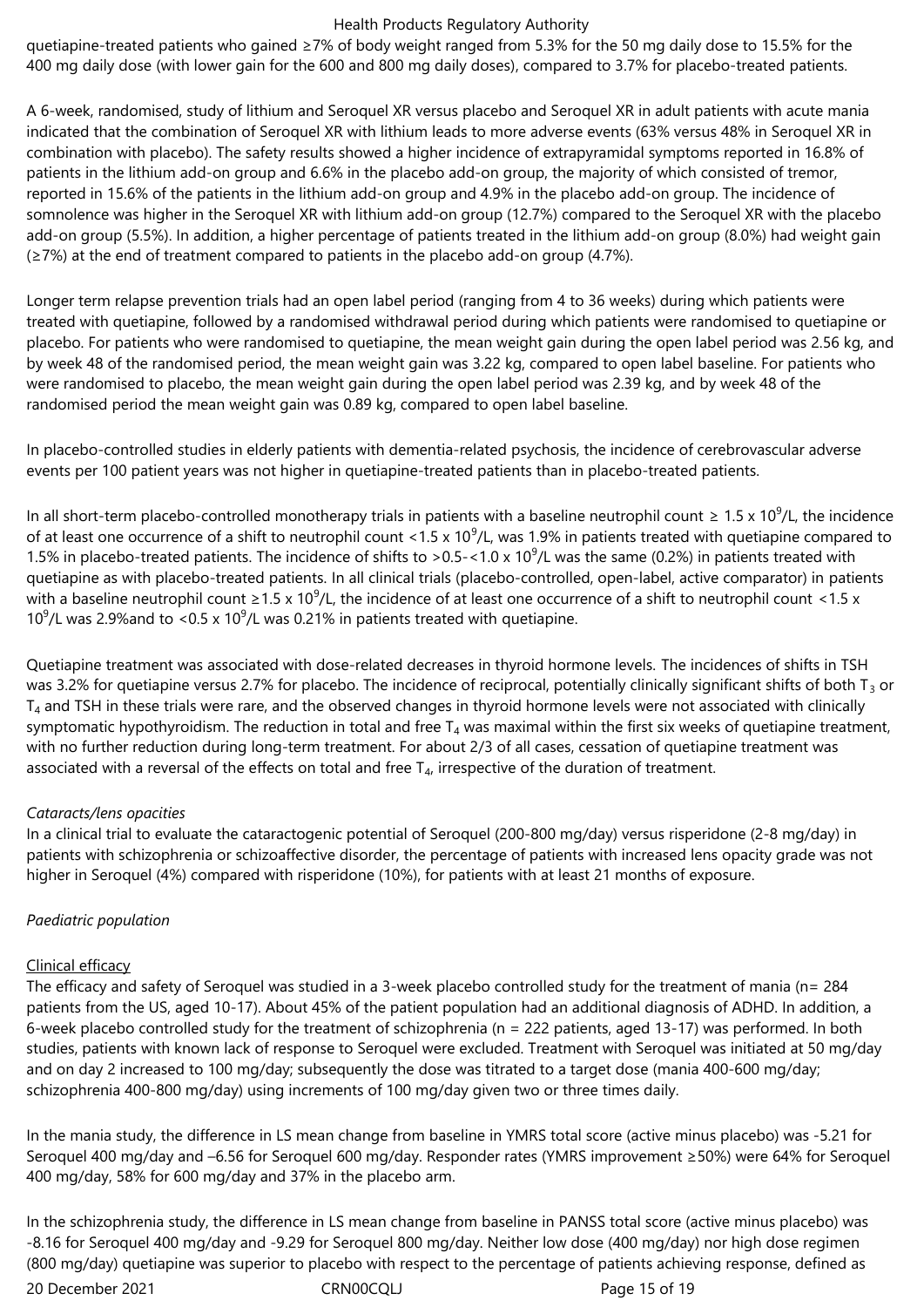quetiapine-treated patients who gained ≥7% of body weight ranged from 5.3% for the 50 mg daily dose to 15.5% for the 400 mg daily dose (with lower gain for the 600 and 800 mg daily doses), compared to 3.7% for placebo-treated patients.

A 6-week, randomised, study of lithium and Seroquel XR versus placebo and Seroquel XR in adult patients with acute mania indicated that the combination of Seroquel XR with lithium leads to more adverse events (63% versus 48% in Seroquel XR in combination with placebo). The safety results showed a higher incidence of extrapyramidal symptoms reported in 16.8% of patients in the lithium add-on group and 6.6% in the placebo add-on group, the majority of which consisted of tremor, reported in 15.6% of the patients in the lithium add-on group and 4.9% in the placebo add-on group. The incidence of somnolence was higher in the Seroquel XR with lithium add-on group (12.7%) compared to the Seroquel XR with the placebo add-on group (5.5%). In addition, a higher percentage of patients treated in the lithium add-on group (8.0%) had weight gain  $(\geq 7\%)$  at the end of treatment compared to patients in the placebo add-on group (4.7%).

Longer term relapse prevention trials had an open label period (ranging from 4 to 36 weeks) during which patients were treated with quetiapine, followed by a randomised withdrawal period during which patients were randomised to quetiapine or placebo. For patients who were randomised to quetiapine, the mean weight gain during the open label period was 2.56 kg, and by week 48 of the randomised period, the mean weight gain was 3.22 kg, compared to open label baseline. For patients who were randomised to placebo, the mean weight gain during the open label period was 2.39 kg, and by week 48 of the randomised period the mean weight gain was 0.89 kg, compared to open label baseline.

In placebo-controlled studies in elderly patients with dementia-related psychosis, the incidence of cerebrovascular adverse events per 100 patient years was not higher in quetiapine-treated patients than in placebo-treated patients.

In all short-term placebo-controlled monotherapy trials in patients with a baseline neutrophil count  $\geq 1.5 \times 10^9$ /L, the incidence of at least one occurrence of a shift to neutrophil count <1.5 x 10<sup>9</sup>/L, was 1.9% in patients treated with quetiapine compared to 1.5% in placebo-treated patients. The incidence of shifts to >0.5-<1.0 x 10<sup>9</sup>/L was the same (0.2%) in patients treated with quetiapine as with placebo-treated patients. In all clinical trials (placebo-controlled, open-label, active comparator) in patients with a baseline neutrophil count ≥1.5 x 10<sup>9</sup>/L, the incidence of at least one occurrence of a shift to neutrophil count <1.5 x 10<sup>9</sup>/L was 2.9% and to <0.5 x 10<sup>9</sup>/L was 0.21% in patients treated with quetiapine.

Quetiapine treatment was associated with dose-related decreases in thyroid hormone levels. The incidences of shifts in TSH was 3.2% for quetiapine versus 2.7% for placebo. The incidence of reciprocal, potentially clinically significant shifts of both  $T_3$  or  $T_4$  and TSH in these trials were rare, and the observed changes in thyroid hormone levels were not associated with clinically symptomatic hypothyroidism. The reduction in total and free  $T_4$  was maximal within the first six weeks of quetiapine treatment, with no further reduction during long-term treatment. For about 2/3 of all cases, cessation of quetiapine treatment was associated with a reversal of the effects on total and free  $T_4$ , irrespective of the duration of treatment.

### *Cataracts/lens opacities*

In a clinical trial to evaluate the cataractogenic potential of Seroquel (200-800 mg/day) versus risperidone (2-8 mg/day) in patients with schizophrenia or schizoaffective disorder, the percentage of patients with increased lens opacity grade was not higher in Seroquel (4%) compared with risperidone (10%), for patients with at least 21 months of exposure.

# *Paediatric population*

### Clinical efficacy

The efficacy and safety of Seroquel was studied in a 3-week placebo controlled study for the treatment of mania (n= 284 patients from the US, aged 10-17). About 45% of the patient population had an additional diagnosis of ADHD. In addition, a 6-week placebo controlled study for the treatment of schizophrenia (n = 222 patients, aged 13-17) was performed. In both studies, patients with known lack of response to Seroquel were excluded. Treatment with Seroquel was initiated at 50 mg/day and on day 2 increased to 100 mg/day; subsequently the dose was titrated to a target dose (mania 400-600 mg/day; schizophrenia 400-800 mg/day) using increments of 100 mg/day given two or three times daily.

In the mania study, the difference in LS mean change from baseline in YMRS total score (active minus placebo) was -5.21 for Seroquel 400 mg/day and –6.56 for Seroquel 600 mg/day. Responder rates (YMRS improvement ≥50%) were 64% for Seroquel 400 mg/day, 58% for 600 mg/day and 37% in the placebo arm.

20 December 2021 CRN00CQLJ Page 15 of 19 In the schizophrenia study, the difference in LS mean change from baseline in PANSS total score (active minus placebo) was -8.16 for Seroquel 400 mg/day and -9.29 for Seroquel 800 mg/day. Neither low dose (400 mg/day) nor high dose regimen (800 mg/day) quetiapine was superior to placebo with respect to the percentage of patients achieving response, defined as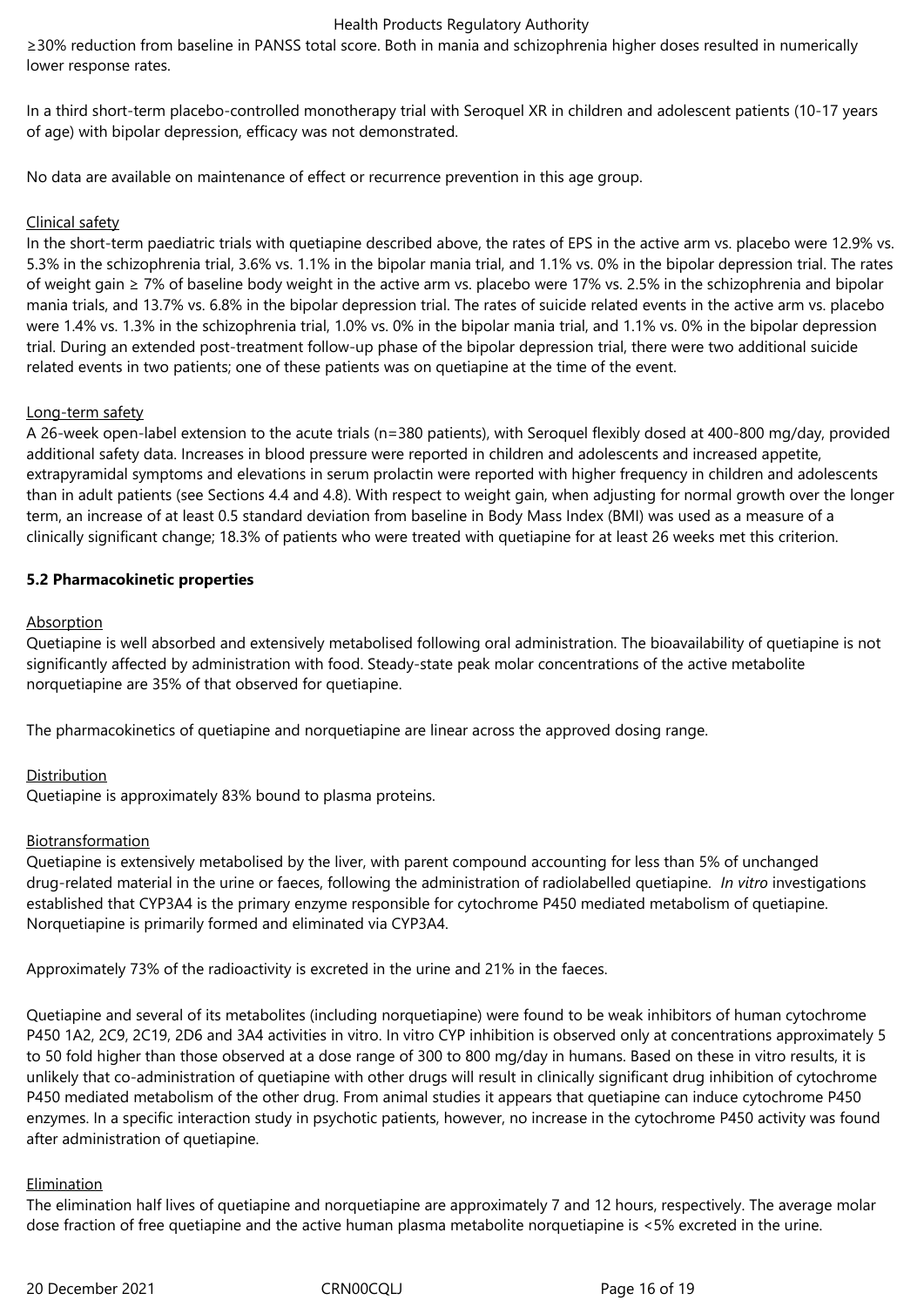≥30% reduction from baseline in PANSS total score. Both in mania and schizophrenia higher doses resulted in numerically lower response rates.

In a third short-term placebo-controlled monotherapy trial with Seroquel XR in children and adolescent patients (10-17 years of age) with bipolar depression, efficacy was not demonstrated.

No data are available on maintenance of effect or recurrence prevention in this age group.

### Clinical safety

In the short-term paediatric trials with quetiapine described above, the rates of EPS in the active arm vs. placebo were 12.9% vs. 5.3% in the schizophrenia trial, 3.6% vs. 1.1% in the bipolar mania trial, and 1.1% vs. 0% in the bipolar depression trial. The rates of weight gain ≥ 7% of baseline body weight in the active arm vs. placebo were 17% vs. 2.5% in the schizophrenia and bipolar mania trials, and 13.7% vs. 6.8% in the bipolar depression trial. The rates of suicide related events in the active arm vs. placebo were 1.4% vs. 1.3% in the schizophrenia trial, 1.0% vs. 0% in the bipolar mania trial, and 1.1% vs. 0% in the bipolar depression trial. During an extended post-treatment follow-up phase of the bipolar depression trial, there were two additional suicide related events in two patients; one of these patients was on quetiapine at the time of the event.

### Long-term safety

A 26-week open-label extension to the acute trials (n=380 patients), with Seroquel flexibly dosed at 400-800 mg/day, provided additional safety data. Increases in blood pressure were reported in children and adolescents and increased appetite, extrapyramidal symptoms and elevations in serum prolactin were reported with higher frequency in children and adolescents than in adult patients (see Sections 4.4 and 4.8). With respect to weight gain, when adjusting for normal growth over the longer term, an increase of at least 0.5 standard deviation from baseline in Body Mass Index (BMI) was used as a measure of a clinically significant change; 18.3% of patients who were treated with quetiapine for at least 26 weeks met this criterion.

### **5.2 Pharmacokinetic properties**

### Absorption

Quetiapine is well absorbed and extensively metabolised following oral administration. The bioavailability of quetiapine is not significantly affected by administration with food. Steady-state peak molar concentrations of the active metabolite norquetiapine are 35% of that observed for quetiapine.

The pharmacokinetics of quetiapine and norquetiapine are linear across the approved dosing range.

### Distribution

Quetiapine is approximately 83% bound to plasma proteins.

### Biotransformation

Quetiapine is extensively metabolised by the liver, with parent compound accounting for less than 5% of unchanged drug‑related material in the urine or faeces, following the administration of radiolabelled quetiapine. *In vitro* investigations established that CYP3A4 is the primary enzyme responsible for cytochrome P450 mediated metabolism of quetiapine. Norquetiapine is primarily formed and eliminated via CYP3A4.

Approximately 73% of the radioactivity is excreted in the urine and 21% in the faeces.

Quetiapine and several of its metabolites (including norquetiapine) were found to be weak inhibitors of human cytochrome P450 1A2, 2C9, 2C19, 2D6 and 3A4 activities in vitro. In vitro CYP inhibition is observed only at concentrations approximately 5 to 50 fold higher than those observed at a dose range of 300 to 800 mg/day in humans. Based on these in vitro results, it is unlikely that co-administration of quetiapine with other drugs will result in clinically significant drug inhibition of cytochrome P450 mediated metabolism of the other drug. From animal studies it appears that quetiapine can induce cytochrome P450 enzymes. In a specific interaction study in psychotic patients, however, no increase in the cytochrome P450 activity was found after administration of quetiapine.

### Elimination

The elimination half lives of quetiapine and norquetiapine are approximately 7 and 12 hours, respectively. The average molar dose fraction of free quetiapine and the active human plasma metabolite norquetiapine is <5% excreted in the urine.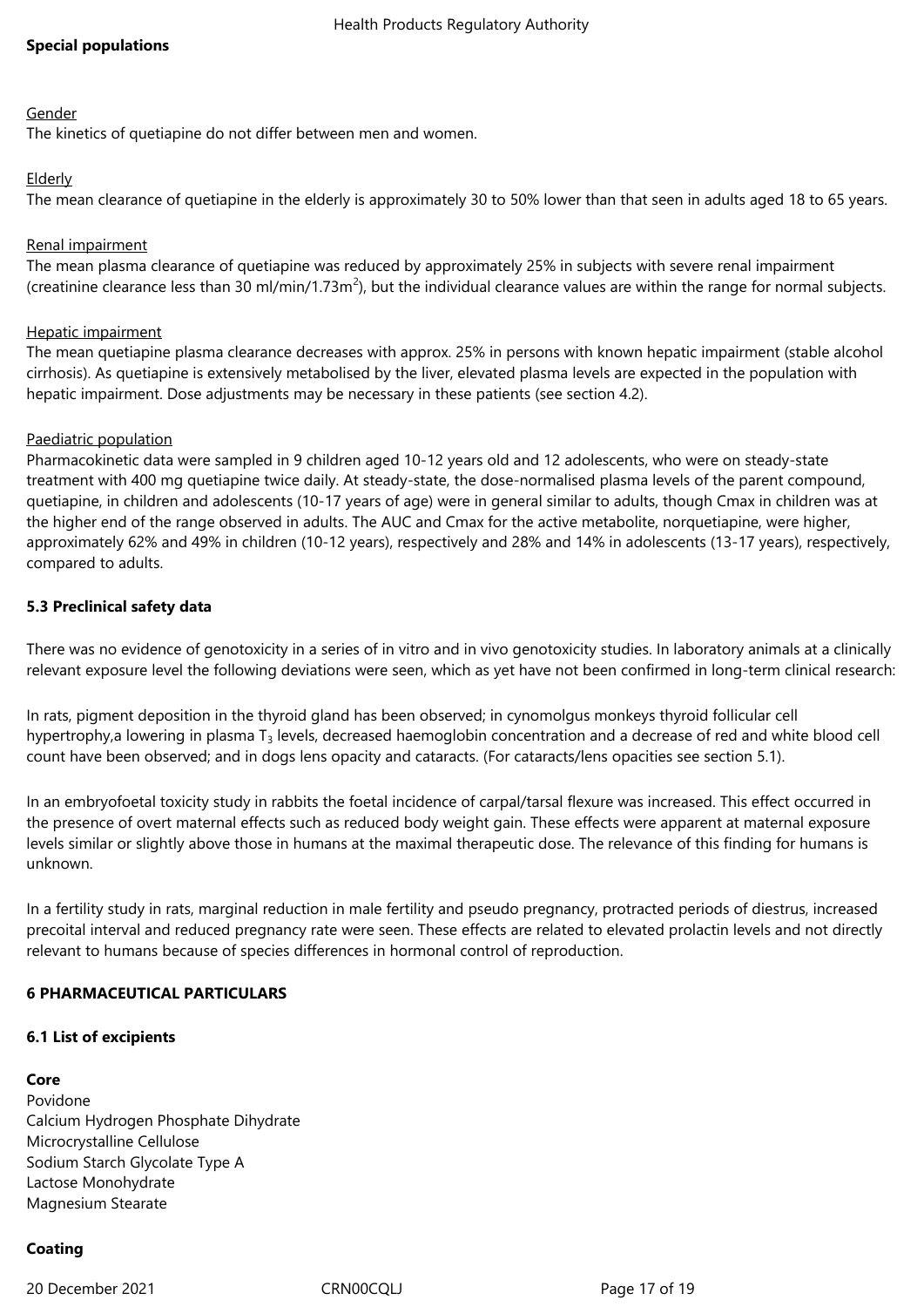### **Special populations**

#### Gender

The kinetics of quetiapine do not differ between men and women.

### Elderly

The mean clearance of quetiapine in the elderly is approximately 30 to 50% lower than that seen in adults aged 18 to 65 years.

### Renal impairment

The mean plasma clearance of quetiapine was reduced by approximately 25% in subjects with severe renal impairment (creatinine clearance less than 30 ml/min/1.73m<sup>2</sup>), but the individual clearance values are within the range for normal subjects.

### Hepatic impairment

The mean quetiapine plasma clearance decreases with approx. 25% in persons with known hepatic impairment (stable alcohol cirrhosis). As quetiapine is extensively metabolised by the liver, elevated plasma levels are expected in the population with hepatic impairment. Dose adjustments may be necessary in these patients (see section 4.2).

### Paediatric population

Pharmacokinetic data were sampled in 9 children aged 10-12 years old and 12 adolescents, who were on steady-state treatment with 400 mg quetiapine twice daily. At steady-state, the dose-normalised plasma levels of the parent compound, quetiapine, in children and adolescents (10-17 years of age) were in general similar to adults, though Cmax in children was at the higher end of the range observed in adults. The AUC and Cmax for the active metabolite, norquetiapine, were higher, approximately 62% and 49% in children (10-12 years), respectively and 28% and 14% in adolescents (13-17 years), respectively, compared to adults.

### **5.3 Preclinical safety data**

There was no evidence of genotoxicity in a series of in vitro and in vivo genotoxicity studies. In laboratory animals at a clinically relevant exposure level the following deviations were seen, which as yet have not been confirmed in long-term clinical research:

In rats, pigment deposition in the thyroid gland has been observed; in cynomolgus monkeys thyroid follicular cell hypertrophy,a lowering in plasma T<sub>3</sub> levels, decreased haemoglobin concentration and a decrease of red and white blood cell count have been observed; and in dogs lens opacity and cataracts. (For cataracts/lens opacities see section 5.1).

In an embryofoetal toxicity study in rabbits the foetal incidence of carpal/tarsal flexure was increased. This effect occurred in the presence of overt maternal effects such as reduced body weight gain. These effects were apparent at maternal exposure levels similar or slightly above those in humans at the maximal therapeutic dose. The relevance of this finding for humans is unknown.

In a fertility study in rats, marginal reduction in male fertility and pseudo pregnancy, protracted periods of diestrus, increased precoital interval and reduced pregnancy rate were seen. These effects are related to elevated prolactin levels and not directly relevant to humans because of species differences in hormonal control of reproduction.

### **6 PHARMACEUTICAL PARTICULARS**

### **6.1 List of excipients**

### **Core**

Povidone Calcium Hydrogen Phosphate Dihydrate Microcrystalline Cellulose Sodium Starch Glycolate Type A Lactose Monohydrate Magnesium Stearate

# **Coating**

20 December 2021 CRN00CQLJ Page 17 of 19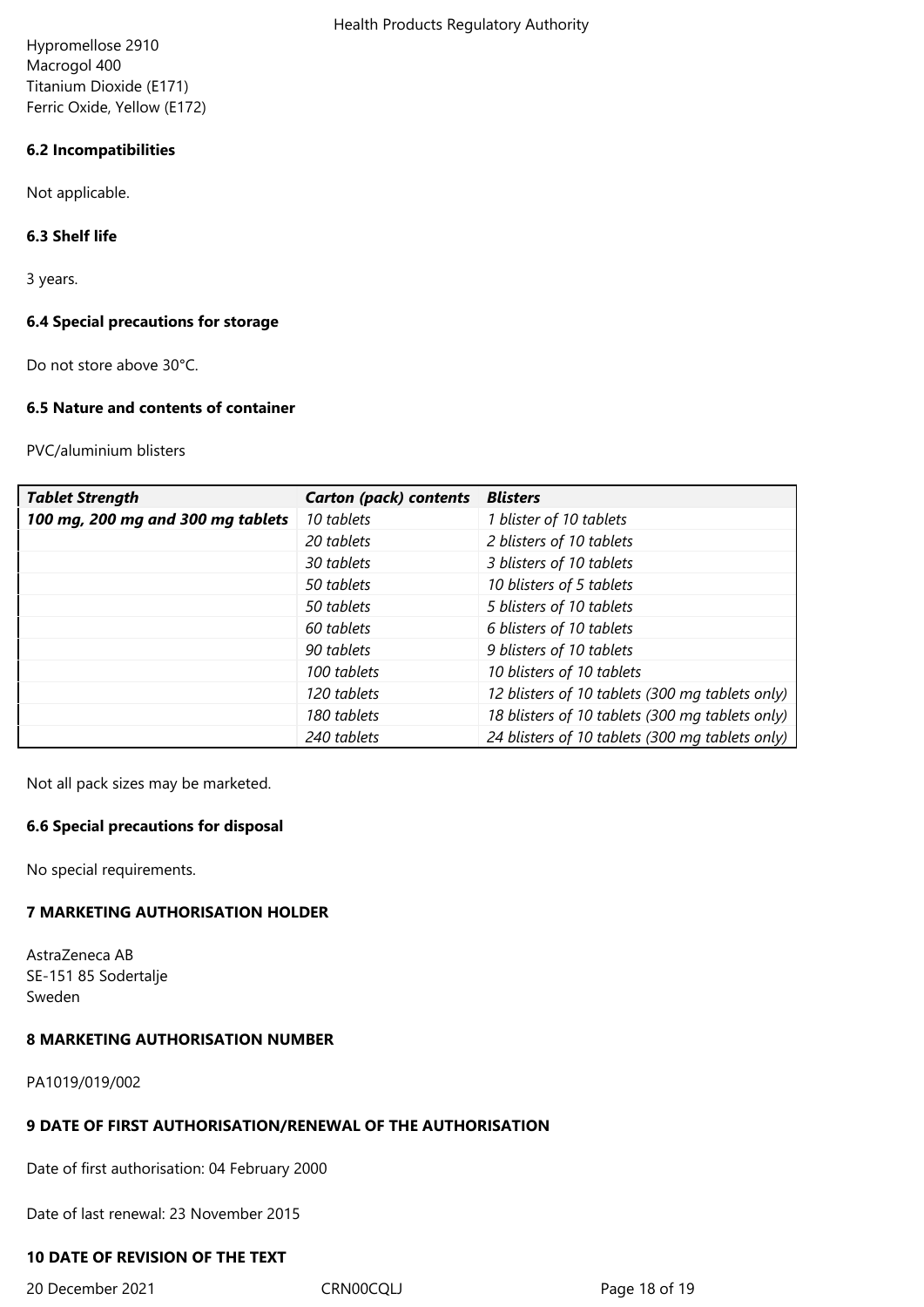Hypromellose 2910 Macrogol 400 Titanium Dioxide (E171) Ferric Oxide, Yellow (E172)

### **6.2 Incompatibilities**

Not applicable.

### **6.3 Shelf life**

3 years.

### **6.4 Special precautions for storage**

Do not store above 30°C.

### **6.5 Nature and contents of container**

PVC/aluminium blisters

| <b>Tablet Strength</b>            | <b>Carton (pack) contents</b> | <b>Blisters</b>                                 |
|-----------------------------------|-------------------------------|-------------------------------------------------|
| 100 mg, 200 mg and 300 mg tablets | 10 tablets                    | 1 blister of 10 tablets                         |
|                                   | 20 tablets                    | 2 blisters of 10 tablets                        |
|                                   | 30 tablets                    | 3 blisters of 10 tablets                        |
|                                   | 50 tablets                    | 10 blisters of 5 tablets                        |
|                                   | 50 tablets                    | 5 blisters of 10 tablets                        |
|                                   | 60 tablets                    | 6 blisters of 10 tablets                        |
|                                   | 90 tablets                    | 9 blisters of 10 tablets                        |
|                                   | 100 tablets                   | 10 blisters of 10 tablets                       |
|                                   | 120 tablets                   | 12 blisters of 10 tablets (300 mg tablets only) |
|                                   | 180 tablets                   | 18 blisters of 10 tablets (300 mg tablets only) |
|                                   | 240 tablets                   | 24 blisters of 10 tablets (300 mg tablets only) |

Not all pack sizes may be marketed.

### **6.6 Special precautions for disposal**

No special requirements.

# **7 MARKETING AUTHORISATION HOLDER**

AstraZeneca AB SE-151 85 Sodertalje Sweden

### **8 MARKETING AUTHORISATION NUMBER**

PA1019/019/002

# **9 DATE OF FIRST AUTHORISATION/RENEWAL OF THE AUTHORISATION**

Date of first authorisation: 04 February 2000

Date of last renewal: 23 November 2015

### **10 DATE OF REVISION OF THE TEXT**

20 December 2021 CRN00CQLJ CRNOCCLJ Page 18 of 19